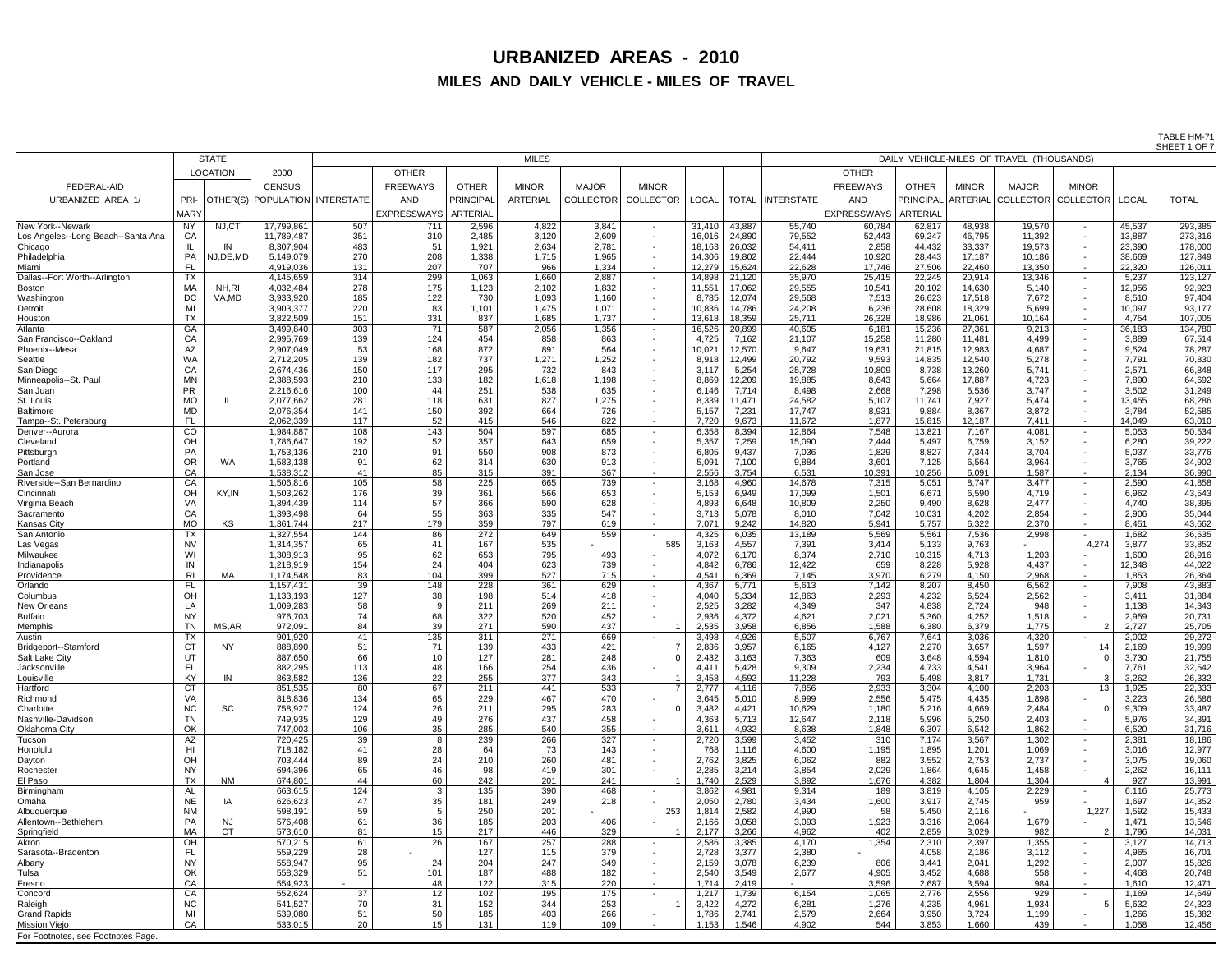TABLE HM-71 SHEET 1 OF 7

|                                             |                        |                 |                                |            |                        |                |                 |                  |                          |                 |                  |                                           |                  |                  |                  |                 |                            |                 | $JHEH + VI$       |
|---------------------------------------------|------------------------|-----------------|--------------------------------|------------|------------------------|----------------|-----------------|------------------|--------------------------|-----------------|------------------|-------------------------------------------|------------------|------------------|------------------|-----------------|----------------------------|-----------------|-------------------|
|                                             |                        | <b>STATE</b>    |                                |            |                        | <b>MILES</b>   |                 |                  |                          |                 |                  | DAILY VEHICLE-MILES OF TRAVEL (THOUSANDS) |                  |                  |                  |                 |                            |                 |                   |
|                                             |                        | <b>LOCATION</b> | 2000                           |            | <b>OTHER</b>           |                |                 |                  |                          |                 |                  |                                           | <b>OTHER</b>     |                  |                  |                 |                            |                 |                   |
| <b>FEDERAL-AID</b>                          |                        |                 | <b>CENSUS</b>                  |            | <b>FREEWAYS</b>        | <b>OTHER</b>   | <b>MINOR</b>    | <b>MAJOR</b>     | <b>MINOR</b>             |                 |                  |                                           | <b>FREEWAYS</b>  | <b>OTHER</b>     | <b>MINOR</b>     | <b>MAJOR</b>    | <b>MINOR</b>               |                 |                   |
| URBANIZED AREA 1/                           | PRI-                   |                 | OTHER(S) POPULATION INTERSTATE |            | AND                    | PRINCIPAL      | <b>ARTERIAL</b> | <b>COLLECTOR</b> | <b>COLLECTOR</b>         | <b>LOCAL</b>    |                  | TOTAL   INTERSTATE                        | <b>AND</b>       | <b>PRINCIPAL</b> | ARTERIAL         |                 | LOCLLECTOR COLLECTOR LOCAL |                 | <b>TOTAL</b>      |
|                                             | <b>MARY</b>            |                 |                                |            | EXPRESSWAYS   ARTERIAL |                |                 |                  |                          |                 |                  |                                           | EXPRESSWAYS      | <b>ARTERIAL</b>  |                  |                 |                            |                 |                   |
| New York--Newark                            | <b>NY</b>              | NJ,CT           | 17,799,861                     | 507        | 711                    | 2,596          | 4,822           | 3,841            | $\sim$                   | 31,410          | 43,887           | 55,740                                    | 60,784           | 62,817           | 48,938           | 19,570          | $\sim$                     | 45,537          | 293,385           |
| Los Angeles--Long Beach--Santa Ana          | CA                     |                 | 11,789,487                     | 351        | 310                    | 2,485          | 3,120           | 2,609            | $\sim$                   | 16,016          | 24,890           | 79,552                                    | 52,443           | 69,247           | 46,795           | 11,392          | $\sim$                     | 13,887          | 273,316           |
| Chicago                                     |                        | IN              | 8,307,904                      | 483        | 51                     | 1,921          | 2,634           | 2,781            | $\sim$                   | 18,163          | 26,032           | 54,411                                    | 2,858            | 44,432           | 33,337           | 19,573          |                            | 23,390          | 178,000           |
| Philadelphia                                | PA                     | NJ, DE, MD      | 5,149,079                      | 270        | 208                    | 1,338          | 1,715           | 1,965            | $\sim$                   | 14,306          | 19,802           | 22,444                                    | 10,920           | 28,443           | 17,187           | 10,186          |                            | 38,669          | 127,849           |
| Miami                                       | <b>FL</b>              |                 | 4,919,036                      | 131        | 207                    | 707            | 966             | 1,334            | $\sim$                   | 12,279          | 15,624           | 22,628                                    | 17,746           | 27,506           | 22,460           | 13,350          | $\overline{\phantom{0}}$   | 22,320          | 126,011           |
| Dallas--Fort Worth--Arlington               | <b>TX</b><br><b>MA</b> | NH,RI           | 4,145,659<br>4,032,484         | 314<br>278 | 299<br>175             | 1,063<br>1,123 | 1,660<br>2,102  | 2,887<br>1,832   | $\sim$ $-$               | 14,898          | 21,120<br>17,062 | 35,970                                    | 25,415<br>10,541 | 22,245           | 20,914<br>14,630 | 13,346<br>5,140 | $\sim$                     | 5,237<br>12,956 | 123,127<br>92,923 |
| Boston<br>Washington                        | <b>DC</b>              | VA,MD           | 3,933,920                      | 185        | 122                    | 730            | 1,093           | 1,160            | $\sim$<br>$\sim$         | 11,55'<br>8,785 | 12,074           | 29,555<br>29,568                          | 7,513            | 20,102<br>26,623 | 17,518           | 7,672           |                            | 8,510           | 97,404            |
| Detroit                                     | MI                     |                 | 3,903,377                      | 220        | 83                     | 1,101          | 1,475           | 1,071            | $\sim$                   | 10,836          | 14,786           | 24,208                                    | 6,236            | 28,608           | 18,329           | 5,699           | $\sim$                     | 10,097          | 93,177            |
| Houston                                     | <b>TX</b>              |                 | 3,822,509                      | 151        | 331                    | 837            | 1,685           | 1,737            | $\sim$                   | 13,618          | 18,359           | 25,711                                    | 26,328           | 18,986           | 21,061           | 10,164          | $\sim$                     | 4,754           | 107,005           |
| Atlanta                                     | GA                     |                 | 3,499,840                      | 303        | 71                     | 587            | 2,056           | 1,356            | $\sim$ 100 $\mu$         | 16,526          | 20,899           | 40,605                                    | 6,181            | 15,236           | 27,361           | 9,213           | $\sim$                     | 36,183          | 134,780           |
| San Francisco--Oakland                      | CA                     |                 | 2,995,769                      | 139        | 124                    | 454            | 858             | 863              | $\sim$                   | 4,725           | 7,162            | 21,107                                    | 15,258           | 11,280           | 11,481           | 4,499           | $\sim$                     | 3,889           | 67,514            |
| Phoenix--Mesa<br>Seattle                    | <b>AZ</b><br><b>WA</b> |                 | 2,907,049<br>2,712,205         | 53<br>139  | 168<br>182             | 872<br>737     | 891<br>1,271    | 564<br>1,252     | $\sim$                   | 10,021<br>8,918 | 12,570<br>12,499 | 9,647<br>20,792                           | 19,631<br>9,593  | 21,815<br>14,835 | 12,983<br>12,540 | 4,687<br>5,278  |                            | 9,524<br>7,791  | 78,287<br>70,830  |
| San Diego                                   | CA                     |                 | 2,674,436                      | 150        | 117                    | 295            | 732             | 843              | $\sim$                   | 3,117           | 5,254            | 25,728                                    | 10,809           | 8,738            | 13,260           | 5,741           | $\sim$                     | 2,571           | 66,848            |
| Minneapolis--St. Paul                       | <b>MN</b>              |                 | 2,388,593                      | 210        | 133                    | 182            | 1,618           | 1,198            | $\sim$                   | 8,869           | 12,209           | 19,885                                    | 8,643            | 5,664            | 17,887           | 4,723           |                            | 7,890           | 64,692            |
| San Juan                                    | <b>PR</b>              |                 | 2,216,616                      | 100        | 44                     | 251            | 538             | 635              | $\sim$                   | 6,146           | 7,714            | 8,498                                     | 2,668            | 7,298            | 5,536            | 3,747           |                            | 3,502           | 31,249            |
| St. Louis                                   | <b>MO</b>              |                 | 2,077,662                      | 281        | 118                    | 631            | 827             | 1,275            | $\sim$                   | 8,339           | 11,471           | 24,582                                    | 5,107            | 11,741           | 7,927            | 5,474           |                            | 13,455          | 68,286            |
| <b>Baltimore</b>                            | <b>MD</b>              |                 | 2,076,354                      | 141        | 150                    | 392            | 664             | 726              | $\sim$                   | 5,157           | 7,231            | 17,747                                    | 8,931            | 9,884            | 8,367            | 3,872           |                            | 3,784           | 52,585            |
| Tampa--St. Petersburg<br>Denver--Aurora     | <b>FL</b><br>CO        |                 | 2,062,339<br>1,984,887         | 117<br>108 | 52<br>143              | 415<br>504     | 546<br>597      | 822<br>685       | $\sim$<br>$\sim$ $-$     | 7,720<br>6,358  | 9,673<br>8,394   | 11,672<br>12,864                          | 1,877<br>7,548   | 15,815<br>13,821 | 12,187<br>7,167  | 7,411<br>4,081  | $\sim$<br>$\sim$           | 14,049<br>5,053 | 63,010<br>50,534  |
| Cleveland                                   | OH                     |                 | 1,786,647                      | 192        | 52                     | 357            | 643             | 659              | $\sim$                   | 5,357           | 7,259            | 15,090                                    | 2,444            | 5,497            | 6,759            | 3,152           |                            | 6,280           | 39,222            |
| Pittsburgh                                  | PA                     |                 | 1,753,136                      | 210        | 91                     | 550            | 908             | 873              | $\blacksquare$           | 6,805           | 9,437            | 7,036                                     | 1,829            | 8,827            | 7,344            | 3,704           |                            | 5,037           | 33,776            |
| Portland                                    | OR                     | <b>WA</b>       | 1,583,138                      | 91         | 62                     | 314            | 630             | 913              |                          | 5,091           | 7,100            | 9,884                                     | 3,601            | 7,125            | 6,564            | 3,964           |                            | 3,765           | 34,902            |
| San Jose                                    | CA                     |                 | 1,538,312                      | 41         | 85                     | 315            | 391             | 367              |                          | 2,556           | 3,754            | 6,531                                     | 10,391           | 10,256           | 6.091            | 1,587           |                            | 2,134           | 36,990            |
| Riverside--San Bernardino                   | CA                     |                 | 1,506,816                      | 105        | 58                     | 225            | 665             | 739              |                          | 3,168           | 4,960            | 14,678                                    | 7,315            | 5,051            | 8,747            | 3,477           |                            | 2,590           | 41,858            |
| Cincinnati<br>Virginia Beach                | OH<br>VA               | KY, IN          | 1,503,262<br>1,394,439         | 176<br>114 | 39<br>57               | 361<br>366     | 566<br>590      | 653<br>628       | $\sim$<br>$\sim$         | 5,153<br>4,893  | 6,949<br>6,648   | 17,099<br>10,809                          | 1,501<br>2,250   | 6,671<br>9,490   | 6,590<br>8,628   | 4,719<br>2,477  |                            | 6,962<br>4,740  | 43,543<br>38,395  |
| Sacramento                                  | CA                     |                 | 1,393,498                      | 64         | 55                     | 363            | 335             | 547              |                          | 3,713           | 5,078            | 8,010                                     | 7,042            | 10,031           | 4,202            | 2,854           |                            | 2,906           | 35,044            |
| <b>Kansas City</b>                          | <b>MO</b>              | KS.             | 1,361,744                      | 217        | 179                    | 359            | 797             | 619              | $\sim$                   | 7,071           | 9,242            | 14,820                                    | 5,941            | 5,757            | 6,322            | 2,370           | $\sim$                     | 8,451           | 43,662            |
| San Antonio                                 | <b>TX</b>              |                 | 1,327,554                      | 144        | 86                     | 272            | 649             | 559              | $\sim$                   | 4,325           | 6,035            | 13,189                                    | 5,569            | 5,561            | 7,536            | 2,998           | $\sim$ 100 $\mu$           | 1,682           | 36,535            |
| Las Vegas                                   | <b>NV</b>              |                 | 1,314,357                      | 65         | 41                     | 167            | 535             |                  | 585                      | 3,163           | 4,557            | 7,391                                     | 3,414            | 5,133            | 9,763            |                 | 4,274                      | 3,877           | 33,852            |
| Milwaukee                                   | WI                     |                 | 1,308,913                      | 95         | 62                     | 653            | 795             | 493              |                          | 4,072           | 6,170            | 8,374                                     | 2,710            | 10,315           | 4,713            | 1,203           |                            | 1,600           | 28,916            |
| Indianapolis<br>Providence                  | IN<br>R <sub>l</sub>   | МA              | 1,218,919<br>1,174,548         | 154<br>83  | 24<br>104              | 404<br>399     | 623<br>527      | 739<br>715       | $\blacksquare$<br>$\sim$ | 4,842<br>4,541  | 6,786<br>6,369   | 12,422<br>7,145                           | 659<br>3,970     | 8,228<br>6,279   | 5,928<br>4,150   | 4,437<br>2,968  | $\sim$                     | 12,348<br>1,853 | 44,022<br>26,364  |
| Orlando                                     | <b>FL</b>              |                 | 1,157,431                      | 39         | 148                    | 228            | 361             | 629              | $\sim$                   | 4,367           | 5,771            | 5,613                                     | 7,142            | 8,207            | 8,450            | 6,562           | $\sim$                     | 7,908           | 43,883            |
| Columbus                                    | OH                     |                 | 1,133,193                      | 127        | 38                     | 198            | 514             | 418              | $\sim$                   | 4,040           | 5,334            | 12,863                                    | 2,293            | 4,232            | 6,524            | 2,562           |                            | 3,411           | 31,884            |
| New Orleans                                 | LA                     |                 | 1,009,283                      | 58         |                        | 211            | 269             | 211              |                          | 2,525           | 3,282            | 4,349                                     | 347              | 4,838            | 2,724            | 948             |                            | 1,138           | 14,343            |
| <b>Buffalo</b>                              | <b>NY</b>              |                 | 976,703                        | 74         | 68                     | 322            | 520             | 452              |                          | 2,936           | 4,372            | 4,621                                     | 2,021            | 5,360            | 4,252            | 1,518           |                            | 2,959           | 20,731            |
| <b>Memphis</b>                              | <b>TN</b>              | MS, AR          | 972,091                        | 84         | 39                     | 271<br>311     | 590<br>271      | 437              |                          | 2,535           | 3,958            | 6,856                                     | 1,588            | 6,380            | 6,379            | 1,775           |                            | 2,727           | 25,705            |
| Austin<br><b>Bridgeport--Stamford</b>       | <b>TX</b><br><b>CT</b> | <b>NY</b>       | 901,920<br>888,890             | 41<br>51   | 135<br>71              | 139            | 433             | 669<br>421       |                          | 3,498<br>2,836  | 4,926<br>3,957   | 5,507<br>6,165                            | 6,767<br>4,127   | 7,641<br>2,270   | 3,036<br>3,657   | 4,320<br>1,597  |                            | 2,002<br>2,169  | 29,272<br>19,999  |
| <b>Salt Lake City</b>                       | UT                     |                 | 887,650                        | 66         | 10                     | 127            | 281             | 248              |                          | 2,432           | 3,163            | 7,363                                     | 609              | 3,648            | 4,594            | 1,810           |                            | 3,730           | 21,755            |
| Jacksonville                                | FL                     |                 | 882,295                        | 113        | 48                     | 166            | 254             | 436              |                          | 4,41'           | 5,428            | 9,309                                     | 2,234            | 4,733            | 4,541            | 3,964           |                            | 7,761           | 32,542            |
| Louisville                                  | <b>KY</b>              | IN              | 863,582                        | 136        | 22                     | 255            | 377             | 343              |                          | 3,458           | 4,592            | 11,228                                    | 793              | 5,498            | 3,817            | 1,731           |                            | 3,262           | 26,332            |
| Hartford                                    | <b>CT</b>              |                 | 851,535                        | 80         | 67                     | 211            | 441             | 533              |                          | 2,777           | 4,116            | 7,856                                     | 2,933            | 3,304            | 4,100            | 2,203           | 13 <sup>°</sup>            | 1,925           | 22,333            |
| Richmond<br>Charlotte                       | VA<br><b>NC</b>        | <b>SC</b>       | 818,836<br>758,927             | 134<br>124 | 65<br>26               | 229<br>211     | 467<br>295      | 470<br>283       |                          | 3,645<br>3,482  | 5,010<br>4,421   | 8,999<br>10,629                           | 2,556<br>1,180   | 5,475<br>5,216   | 4,435<br>4,669   | 1,898<br>2,484  |                            | 3,223<br>9,309  | 26,586<br>33,487  |
| Nashville-Davidson                          | <b>TN</b>              |                 | 749,935                        | 129        | 49                     | 276            | 437             | 458              |                          | 4,363           | 5,713            | 12,647                                    | 2,118            | 5,996            | 5,250            | 2,403           |                            | 5,976           | 34,391            |
| <b>Oklahoma City</b>                        | OK                     |                 | 747,003                        | 106        | 35                     | 285            | 540             | 355              | $\sim$                   | 3,611           | 4,932            | 8,638                                     | 1,848            | 6,307            | 6,542            | 1,862           |                            | 6,520           | 31,716            |
| Tucson                                      | AZ                     |                 | 720,425                        | 39         | 8                      | 239            | 266             | 327              | $\sim$                   | 2,720           | 3,599            | 3,452                                     | 310              | 7,174            | 3,567            | 1,302           |                            | 2,381           | 18,186            |
| Honolulu                                    | H <sub>l</sub>         |                 | 718,182                        | 41         | 28                     | 64             | 73              | 143              | $\sim$                   | 768             | 1,116            | 4,600                                     | 1,195            | 1,895            | 1,201            | 1,069           |                            | 3,016           | 12,977            |
| Dayton                                      | OH                     |                 | 703,444                        | 89         | 24                     | 210            | 260             | 481              | $\sim$                   | 2,762           | 3,825            | 6,062                                     | 882              | 3,552            | 2,753            | 2,737           |                            | 3,075           | 19,060            |
| Rochester<br>El Paso                        | <b>NY</b><br><b>TX</b> | <b>NM</b>       | 694,396<br>674,801             | 65<br>44   | 46<br>60               | 98<br>242      | 419<br>201      | 301<br>241       |                          | 2,285<br>1,740  | 3,214<br>2,529   | 3,854<br>3,892                            | 2,029<br>1,676   | 1,864<br>4,382   | 4,645<br>1,804   | 1,458<br>1,304  |                            | 2,262<br>927    | 16,111<br>13,991  |
| Birmingham                                  | <b>AL</b>              |                 | 663,615                        | 124        | 3                      | 135            | 390             | 468              |                          | 3,862           | 4,981            | 9,314                                     | 189              | 3,819            | 4,105            | 2,229           |                            | 6,116           | 25,773            |
| Omaha                                       | <b>NE</b>              | IA              | 626,623                        | 47         | 35                     | 181            | 249             | 218              |                          | 2,050           | 2,780            | 3,434                                     | 1,600            | 3,917            | 2,745            | 959             |                            | 1,697           | 14,352            |
| Albuquerque                                 | <b>NM</b>              |                 | 598,191                        | 59         | <sub>5</sub>           | 250            | 201             |                  | 253                      | 1,814           | 2,582            | 4,990                                     | 58               | 5,450            | 2,116            |                 | 1,227                      | 1,592           | 15,433            |
| Allentown--Bethlehem                        | <b>PA</b>              | NJ.             | 576,408                        | 61         | 36                     | 185            | 203             | 406              |                          | 2,166           | 3,058            | 3,093                                     | 1,923            | 3,316            | 2,064            | 1,679           |                            | 1,471           | 13,546            |
| Springfield                                 | MA                     | <b>CT</b>       | 573,610                        | 81         | 15 <sub>1</sub>        | 217            | 446             | 329              |                          | 2,177           | 3,266            | 4,962                                     | 402              | 2,859            | 3,029            | 982             |                            | 1,796           | 14,031            |
| Akron<br>Sarasota--Bradenton                | OH<br><b>FL</b>        |                 | 570,215<br>559,229             | 61<br>28   | 26                     | 167<br>127     | 257<br>115      | 288<br>379       | $\sim$                   | 2,586<br>2,728  | 3,385<br>3,377   | 4,170<br>2,380                            | 1,354            | 2,310<br>4,058   | 2,397<br>2,186   | 1,355<br>3,112  |                            | 3,127<br>4,965  | 14,713<br>16,701  |
| Albany                                      | <b>NY</b>              |                 | 558,947                        | 95         | 24                     | 204            | 247             | 349              |                          | 2,159           | 3,078            | 6,239                                     | 806              | 3,441            | 2,041            | 1,292           |                            | 2,007           | 15,826            |
| Tulsa                                       | OK                     |                 | 558,329                        | 51         | 101                    | 187            | 488             | 182              |                          | 2,540           | 3,549            | 2,677                                     | 4,905            | 3,452            | 4,688            | 558             |                            | 4,468           | 20,748            |
| Fresno                                      | CA                     |                 | 554,923                        |            | 48                     | 122            | 315             | 220              |                          | 1,714           | 2,419            |                                           | 3,596            | 2,687            | 3,594            | 984             |                            | 1,610           | 12,471            |
| Concord                                     | CA                     |                 | 552,624                        | 37         | 12 <sup>2</sup>        | 102            | 195             | 175              |                          | 1,217           | 1,739            | 6,154                                     | 1,065            | 2,776            | 2,556            | 929             |                            | 1,169           | 14,649            |
| Raleigh                                     | <b>NC</b>              |                 | 541,527                        | 70         | 31                     | 152            | 344             | 253              |                          | 3,422           | 4,272            | 6,281                                     | 1,276            | 4,235            | 4,961            | 1,934           |                            | 5,632           | 24,323            |
| <b>Grand Rapids</b><br><b>Mission Viejo</b> | MI<br>CA               |                 | 539,080<br>533,015             | 51<br>20   | 50<br>15 <sub>15</sub> | 185<br>131     | 403<br>119      | 266<br>109       |                          | 1,786<br>1,153  | 2,741<br>1,546   | 2,579<br>4,902                            | 2,664<br>544     | 3,950<br>3,853   | 3,724<br>1,660   | 1,199<br>439    |                            | 1,266<br>1,058  | 15,382<br>12,456  |
|                                             |                        |                 |                                |            |                        |                |                 |                  |                          |                 |                  |                                           |                  |                  |                  |                 |                            |                 |                   |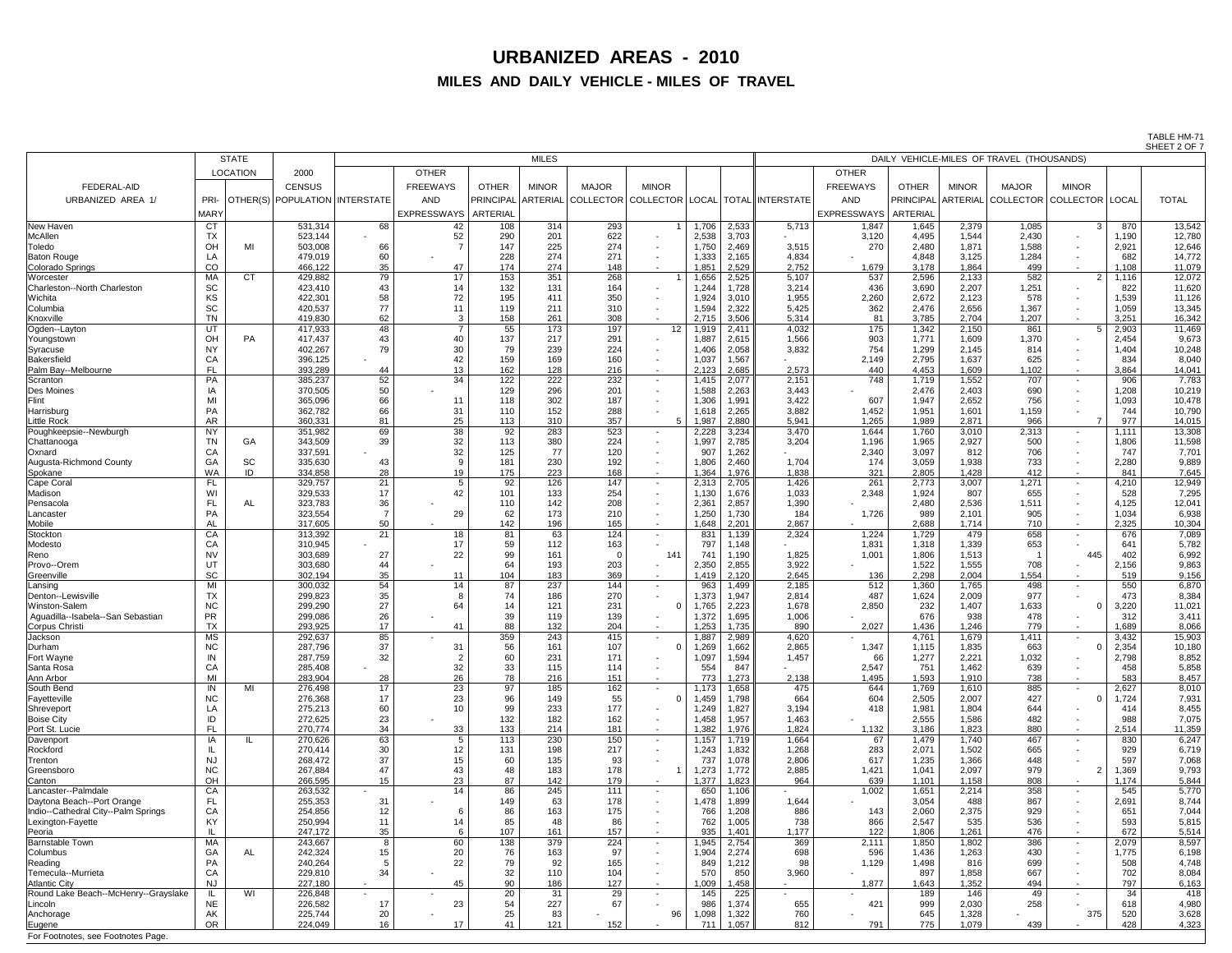TABLE HM-71 SHEET 2 OF 7

|                                                           | <b>STATE</b>           |                 | <b>MILES</b>                   |                 |                    |                 |              |              |                                        |                | ---------<br>DAILY VEHICLE-MILES OF TRAVEL (THOUSANDS) |                         |                 |                  |                |                              |              |              |                  |
|-----------------------------------------------------------|------------------------|-----------------|--------------------------------|-----------------|--------------------|-----------------|--------------|--------------|----------------------------------------|----------------|--------------------------------------------------------|-------------------------|-----------------|------------------|----------------|------------------------------|--------------|--------------|------------------|
|                                                           |                        | <b>LOCATION</b> | 2000                           |                 | <b>OTHER</b>       |                 |              |              |                                        |                |                                                        |                         | <b>OTHER</b>    |                  |                |                              |              |              |                  |
| <b>FEDERAL-AID</b>                                        |                        |                 | <b>CENSUS</b>                  |                 | <b>FREEWAYS</b>    | <b>OTHER</b>    | <b>MINOR</b> | <b>MAJOR</b> | <b>MINOR</b>                           |                |                                                        |                         | <b>FREEWAYS</b> | <b>OTHER</b>     | <b>MINOR</b>   | <b>MAJOR</b>                 | <b>MINOR</b> |              |                  |
| URBANIZED AREA 1/                                         | PRI-                   |                 | OTHER(S) POPULATION INTERSTATE |                 | <b>AND</b>         |                 |              |              | PRINCIPAL ARTERIAL COLLECTOR COLLECTOR | <b>LOCAL</b>   |                                                        | <b>TOTAL INTERSTATE</b> | AND             | <b>PRINCIPAL</b> |                | ARTERIAL COLLECTOR COLLECTOR |              | <b>LOCAL</b> | <b>TOTAL</b>     |
|                                                           | <b>MARY</b>            |                 |                                |                 | <b>EXPRESSWAYS</b> | <b>ARTERIAL</b> |              |              |                                        |                |                                                        |                         | EXPRESSWAYS     | ARTERIAL         |                |                              |              |              |                  |
| New Haven                                                 | <b>CT</b>              |                 | 531,314                        | 68              | 42                 | 108             | 314          | 293          |                                        | 1,706          | 2,533                                                  | 5,713                   | 1,847           | 1,645            | 2,379          | 1,085                        | $\Omega$     | 870          | 13,542           |
| McAllen                                                   | <b>TX</b>              |                 | 523,144                        |                 | 52                 | 290             | 201          | 622          | $\sim$                                 | 2,538          | 3,703                                                  |                         | 3,120           | 4,495            | 1,544          | 2,430                        |              | 1,190        | 12,780           |
| Toledo                                                    | OH                     | MI              | 503,008                        | 66              |                    | 147             | 225          | 274          | $\sim$                                 | 1,750          | 2,469                                                  | 3,515                   | 270             | 2,480            | 1,871          | 1,588                        | $\sim$       | 2,921        | 12,646           |
| <b>Baton Rouge</b>                                        | LA                     |                 | 479,019                        | 60              |                    | 228             | 274          | 271          | $\sim$                                 | 1,333          | 2,165                                                  | 4,834                   |                 | 4,848            | 3,125          | 1,284                        |              | 682          | 14,772           |
| Colorado Springs                                          | CO                     |                 | 466,122                        | 35              | 47                 | 174             | 274          | 148          | $\sim$                                 | 1,851          | 2,529                                                  | 2,752                   | 1,679           | 3,178            | 1,864          | 499                          |              | ,108         | 11,079           |
| <b>IWorcester</b>                                         | <b>MA</b>              | <b>CT</b>       | 429,882                        | 79              | 17                 | 153             | 351          | 268          |                                        | ,656           | 2,525                                                  | 5,107                   | 537             | 2,596            | 2,133          | 582                          |              | ,116         | 12,072           |
| Charleston--North Charleston<br>Wichita                   | <b>SC</b><br>KS        |                 | 423,410<br>422,301             | 43<br>58        | 72                 | 132<br>195      | 131<br>411   | 164<br>350   | $\sim$<br>$\sim$                       | 1,244<br>1,924 | 1,728<br>3,010                                         | 3,214<br>1,955          | 436<br>2,260    | 3,690<br>2,672   | 2,207<br>2,123 | 1,251<br>578                 |              | 822<br>1,539 | 11,620<br>11,126 |
| Columbia                                                  | SC                     |                 | 420,537                        | 77              |                    | 119             | 211          | 310          | $\sim$                                 | 1,594          | 2,322                                                  | 5,425                   | 362             | 2,476            | 2,656          | 1,367                        |              | 1,059        | 13,345           |
| Knoxville                                                 | <b>TN</b>              |                 | 419,830                        | 62              |                    | 158             | 261          | 308          | $\sim$ 10 $\,$                         | 2,715          | 3,506                                                  | 5,314                   | 81              | 3,785            | 2,704          | 1,207                        |              | 3,251        | 16,342           |
| Ogden--Layton                                             | UT                     |                 | 417,933                        | 48              |                    | 55              | 173          | 197          | $12 \overline{ }$                      | 1,919          | 2,411                                                  | 4,032                   | 175             | 1,342            | 2,150          | 861                          |              | 2,903        | 11,469           |
| Youngstown                                                | OH                     | <b>PA</b>       | 417,437                        | 43              | 40                 | 137             | 217          | 291          | $\sim$                                 | ,887           | 2,615                                                  | 1,566                   | 903             | 1,771            | 1,609          | 1,370                        |              | 2,454        | 9,673            |
| Syracuse<br>Bakersfield                                   | <b>NY</b><br>CA        |                 | 402,267                        | 79              | 30<br>42           | 79<br>159       | 239<br>169   | 224<br>160   | $\sim$                                 | 1,406<br>1,037 | 2,058<br>1,567                                         | 3,832                   | 754<br>2,149    | 1,299<br>2,795   | 2,145<br>1,637 | 814<br>625                   |              | 1,404<br>834 | 10,248<br>8,040  |
| Palm Bay--Melbourne                                       | <b>FL</b>              |                 | 396,125<br>393,289             | -44             | 13                 | 162             | 128          | 216          | $\sim$<br>$\sim$ $-$                   | 2,123          | 2,685                                                  | 2,573                   | 440             | 4,453            | 1,609          | 1,102                        | $\sim$       | 3,864        | 14,041           |
| Scranton                                                  | PA                     |                 | 385,237                        | 52              | 34                 | 122             | 222          | 232          | $\sim$ 100 $\mu$                       | 1,415          | 2,077                                                  | 2,151                   | 748             | 1,719            | 1,552          | 707                          | $\sim$       | 906          | 7,783            |
| <b>Des Moines</b>                                         | IA                     |                 | 370,505                        | 50              |                    | 129             | 296          | 201          | $\sim$                                 | 1,588          | 2,263                                                  | 3,443                   |                 | 2,476            | 2,403          | 690                          |              | 1,208        | 10,219           |
| Flint                                                     | MI                     |                 | 365,096                        | 66              |                    | 118             | 302          | 187          | $\sim$                                 | 1,306          | 1,991                                                  | 3,422                   | 607             | 1,947            | 2,652          | 756                          |              | 1,093        | 10,478           |
| Harrisburg                                                | PA                     |                 | 362,782                        | 66              | 31                 | 110             | 152          | 288          |                                        | 1,618          | 2,265                                                  | 3,882                   | 1,452           | 1,951            | 1,601          | 1,159                        |              | 744          | 10,790           |
| <b>Little Rock</b><br>Poughkeepsie--Newburgh              | <b>AR</b><br><b>NY</b> |                 | 360,331<br>351,982             | 81<br>69        | 25<br>38           | 113<br>92       | 310<br>283   | 357<br>523   | $\sim$                                 | 1,987<br>2,228 | 2,880<br>3,234                                         | 5,941<br>3,470          | 1,265<br>1,644  | 1,989<br>1,760   | 2,871<br>3,010 | 966<br>2,313                 | $\sim$       | 977<br>1,111 | 14,015<br>13,308 |
| Chattanooga                                               | ΤN                     | GA              | 343,509                        | 39              | 32                 | 113             | 380          | 224          | $\sim$                                 | 1,997          | 2,785                                                  | 3,204                   | 1,196           | 1,965            | 2,927          | 500                          | $\sim$       | 1,806        | 11,598           |
| Oxnard                                                    | CA                     |                 | 337,591                        |                 | 32                 | 125             | 77           | 120          | $\sim$                                 | 907            | 1,262                                                  |                         | 2,340           | 3,097            | 812            | 706                          |              | 747          | 7,701            |
| Augusta-Richmond County                                   | ĠА                     | <b>SC</b>       | 335,630                        | -43             |                    | 181             | 230          | 192          |                                        | 1,806          | 2,460                                                  | 1,704                   | 174             | 3,059            | 1,938          | 733                          |              | 2,280        | 9,889            |
| Spokane                                                   | WA                     | ID              | 334,858                        | 28              |                    | 175             | 223          | 168          |                                        | .364           | 1,976                                                  | 1,838                   | 321             | 2,805            | 1,428          | 412                          |              | 841          | 7,645            |
| Cape Coral<br>Madison                                     | FL                     |                 | 329,757<br>329,533             | 21<br>17        | 42                 | 92<br>101       | 126<br>133   | 147<br>254   | $\sim$                                 | 2,313<br>1,130 | 2,705<br>1,676                                         | 1,426<br>1,033          | 261<br>2,348    | 2,773<br>1,924   | 3,007<br>807   | 1,271<br>655                 |              | 4,210<br>528 | 12,949<br>7,295  |
| Pensacola                                                 | FL                     | AL              | 323,783                        | 36              |                    | 110             | 142          | 208          | $\sim$                                 | 2,361          | 2,857                                                  | 1,390                   |                 | 2,480            | 2,536          | 1,511                        |              | 4,125        | 12,041           |
| Lancaster                                                 | PA                     |                 | 323,554                        |                 | 29                 | 62              | 173          | 210          | $\sim$                                 | 1,250          | 1,730                                                  | 184                     | 1,726           | 989              | 2,101          | 905                          |              | 1,034        | 6,938            |
| Mobile                                                    | <b>AL</b>              |                 | 317,605                        | 50              |                    | 142             | 196          | 165          | $\sim$                                 | 1,648          | 2,201                                                  | 2,867                   |                 | 2,688            | 1,714          | 710                          | $\sim$       | 2,325        | 10,304           |
| Stockton                                                  | CA                     |                 | 313,392                        | 21              | 18                 | 81              | 63           | 124          | $\sim$                                 | 831            | 1,139                                                  | 2,324                   | 1,224           | 1,729            | 479            | 658                          |              | 676          | 7,089            |
| Modesto<br>Reno                                           | CA<br><b>NV</b>        |                 | 310,945<br>303,689             | 27              | 22                 | 59<br>99        | 112<br>161   | 163          | 141                                    | 797<br>741     | 1,148<br>1,190                                         | 1,825                   | 1,831<br>1,001  | 1,318<br>1,806   | 1,339<br>1,513 | 653                          | 445          | 641<br>402   | 5,782<br>6,992   |
| Provo--Orem                                               | UT                     |                 | 303,680                        | 44              |                    | 64              | 193          | 203          |                                        | 2,350          | 2,855                                                  | 3,922                   |                 | 1,522            | 1,555          | 708                          |              | 2,156        | 9,863            |
| Greenville                                                | <b>SC</b>              |                 | 302,194                        | 35              | 11                 | 104             | 183          | 369          |                                        | 1,419          | 2,120                                                  | 2,645                   | 136             | 2,298            | 2,004          | 1,554                        |              | 519          | 9,156            |
| Lansing                                                   | MI                     |                 | 300,032                        | 54              | 14                 | 87              | 237          | 144          | $\sim$                                 | 963            | 1,499                                                  | 2,185                   | 512             | 1,360            | 1,765          | 498                          |              | 550          | 6,870            |
| Denton--Lewisville                                        | <b>TX</b>              |                 | 299,823                        | 35              |                    | 74              | 186          | 270          |                                        | 1,373          | 1,947                                                  | 2,814                   | 487             | 1,624            | 2,009          | 977                          |              | 473          | 8,384            |
| <b>Winston-Salem</b><br>Aguadilla--Isabela--San Sebastian | <b>NC</b><br><b>PR</b> |                 | 299,290<br>299,086             | 27<br>26        | 64                 | -14<br>39       | 121<br>119   | 231<br>139   |                                        | 1,765<br>1,372 | 2,223<br>1,695                                         | 1,678<br>1,006          | 2,850           | 232<br>676       | 1,407<br>938   | 1,633<br>478                 |              | 3,220<br>312 | 11,021<br>3,411  |
| Corpus Christi                                            | <b>TX</b>              |                 | 293,925                        | 17              | 41                 | 88              | 132          | 204          |                                        | ,253           | 1,735                                                  | 890                     | 2,027           | 1,436            | 1,246          | 779                          |              | 1,689        | 8,066            |
| Jackson                                                   | <b>MS</b>              |                 | 292,637                        | 85              |                    | 359             | 243          | 415          |                                        | 1,887          | 2,989                                                  | 4,620                   |                 | 4,761            | 1,679          | 1,411                        |              | 3,432        | 15,903           |
| Durham                                                    | <b>NC</b>              |                 | 287,796                        | 37              | 31                 | 56              | 161          | 107          |                                        | ,269           | 1,662                                                  | 2,865                   | 1,347           | 1,115            | 1,835          | 663                          |              | 2,354        | 10,180           |
| <b>Fort Wayne</b>                                         |                        |                 | 287,759                        | 32              |                    | 60              | 231          | 171          |                                        | 1,097          | 1,594<br>847                                           | 1,457                   | 66              | 1,277            | 2,221          | 1,032                        |              | 2,798        | 8,852            |
| Santa Rosa<br>Ann Arbor                                   | СA<br>MI               |                 | 285,408<br>283,904             | 28              | 32<br>26           | 33<br>78        | 115<br>216   | 114<br>151   |                                        | 554<br>773     | 1,273                                                  | 2,138                   | 2,547<br>1,495  | 751<br>1,593     | 1,462<br>1,910 | 639<br>738                   |              | 458<br>583   | 5,858<br>8,457   |
| South Bend                                                | IN                     | MI              | 276,498                        | 17              | 23                 | 97              | 185          | 162          |                                        | 1,173          | 1,658                                                  | 475                     | 644             | 1,769            | 1,610          | 885                          |              | 2,627        | 8,010            |
| Fayetteville                                              | <b>NC</b>              |                 | 276,368                        | 17              | 23                 | 96              | 149          | 55           |                                        | ,459           | 1,798                                                  | 664                     | 604             | 2,505            | 2,007          | 427                          |              | ,724         | 7,931            |
| Shreveport                                                | LA                     |                 | 275,213                        | 60              |                    | 99              | 233          | 177          |                                        | 1,249          | 1,827                                                  | 3,194                   | 418             | 1,981            | 1,804          | 644                          |              | 414          | 8,455            |
| <b>Boise City</b>                                         | ID<br>FL               |                 | 272,625<br>270,774             | 23              |                    | 132<br>133      | 182          | 162          |                                        | 1,458<br>1,382 | 1,957                                                  | 1,463<br>1,824          |                 | 2,555<br>3,186   | 1,586<br>1,823 | 482<br>880                   |              | 988<br>2,514 | 7,075            |
| Port St. Lucie<br>Davenport                               | IA                     | IL              | 270,626                        | 34<br>63        | 33                 | 113             | 214<br>230   | 181<br>150   | $\sim$<br>$\sim$                       | 1,157          | 1,976<br>1,719                                         | 1,664                   | 1,132<br>67     | 1,479            | 1,740          | 467                          |              | 830          | 11,359<br>6,247  |
| Rockford                                                  |                        |                 | 270,414                        | 30              | 12                 | 131             | 198          | 217          |                                        | 1,243          | 1,832                                                  | 1,268                   | 283             | 2,071            | 1,502          | 665                          |              | 929          | 6,719            |
| Trenton                                                   | <b>NJ</b>              |                 | 268,472                        | 37              |                    | 60              | 135          | 93           |                                        | 737            | 1,078                                                  | 2,806                   | 617             | 1,235            | 1,366          | 448                          |              | 597          | 7,068            |
| Greensboro                                                | <b>NC</b>              |                 | 267,884                        | 47              | 43                 | 48              | 183          | 178          |                                        | 1,273          | 1,772                                                  | 2,885                   | 1,421           | 1,041            | 2,097          | 979                          |              | ,369         | 9,793            |
| Canton<br>Lancaster--Palmdale                             | OH                     |                 | 266,595                        | 15 <sub>1</sub> | 23                 | 87              | 142          | 179          |                                        | 1,377          | 1,823                                                  | 964                     | 639             | 1,101            | 1,158          | 808                          |              | 1,174        | 5,844            |
| Daytona Beach--Port Orange                                | CA<br>FL               |                 | 263,532<br>255,353             | 31              |                    | 86<br>149       | 245<br>63    | 111<br>178   |                                        | 650<br>1,478   | 1,106<br>1,899                                         | 1,644                   | 1,002           | 1,651<br>3,054   | 2,214<br>488   | 358<br>867                   |              | 545<br>2,691 | 5,770<br>8,744   |
| Indio--Cathedral City--Palm Springs                       | CA                     |                 | 254,856                        | 12              |                    | 86              | 163          | 175          |                                        | 766            | 1,208                                                  | 886                     | 143             | 2,060            | 2,375          | 929                          |              | 651          | 7,044            |
| Lexington-Fayette                                         | KY                     |                 | 250,994                        | 11              |                    | 85              |              | 86           |                                        | 762            | 1,005                                                  | 738                     | 866             | 2,547            | 535            | 536                          |              | 593          | 5,815            |
| Peoria                                                    |                        |                 | 247,172                        | 35              |                    | 107             | 161          | 157          |                                        | 935            | 1,401                                                  | 1,177                   | 122             | 1,806            | 1,261          | 476                          |              | 672          | 5,514            |
| <b>Barnstable Town</b>                                    | MA                     |                 | 243,667                        |                 | 60                 | 138             | 379          | 224          | $\sim$                                 | 1,945          | 2,754                                                  | 369                     | 2,111           | 1,850            | 1,802          | 386                          |              | 2,079        | 8,597            |
| Columbus<br>Reading                                       | GA<br><b>PA</b>        | AL              | 242,324<br>240,264             | 15              | 20<br>22           | 76<br>79        | 163<br>92    | 165          | $\sim$                                 | 1,904<br>849   | 2,274<br>1,212                                         | 698                     | 596<br>1,129    | 1,436<br>1,498   | 1,263<br>816   | 430<br>699                   |              | 1,775<br>508 | 6,198<br>4,748   |
| Temecula--Murrieta                                        | CA                     |                 | 229,810                        | 34              |                    | 32              | 110          | 104          | $\sim$                                 | 570            | 850                                                    | 3,960                   |                 | 897              | 1,858          | 667                          |              | 702          | 8,084            |
| <b>Atlantic City</b>                                      | <b>NJ</b>              |                 | 227,180                        |                 | 45                 | 90              | 186          | 127          | $\sim$                                 | 1,009          | 1,458                                                  | $\sim$                  | 1,877           | 1,643            | 1,352          | 494                          |              | 797          | 6,163            |
| Round Lake Beach--McHenry--Grayslake                      |                        | WI              | 226,848                        |                 |                    | 20              | 31           | 29           | $\sim$                                 | 145            | 225                                                    | $\sim$                  | $\sim$          | 189              | 146            | 49                           |              | 34           | 418              |
| Lincoln                                                   | <b>NE</b>              |                 | 226,582                        | 17              | 23                 | 54              | 227          | 67           |                                        | 986            | 1,374                                                  | 655                     | 421             | 999              | 2,030          | 258                          |              | 618          | 4,980            |
| Anchorage<br>Eugene                                       | <b>AK</b><br><b>OR</b> |                 | 225,744<br>224,049             | 20<br>16        | 17                 | 25<br>41        | 83<br>121    | 152          | 96                                     | 1,098<br>711   | 1,322<br>1,057                                         | 760<br>812              | 791             | 645<br>775       | 1,328<br>1,079 | 439                          | 375          | 520<br>428   | 3,628<br>4,323   |
|                                                           |                        |                 |                                |                 |                    |                 |              |              |                                        |                |                                                        |                         |                 |                  |                |                              |              |              |                  |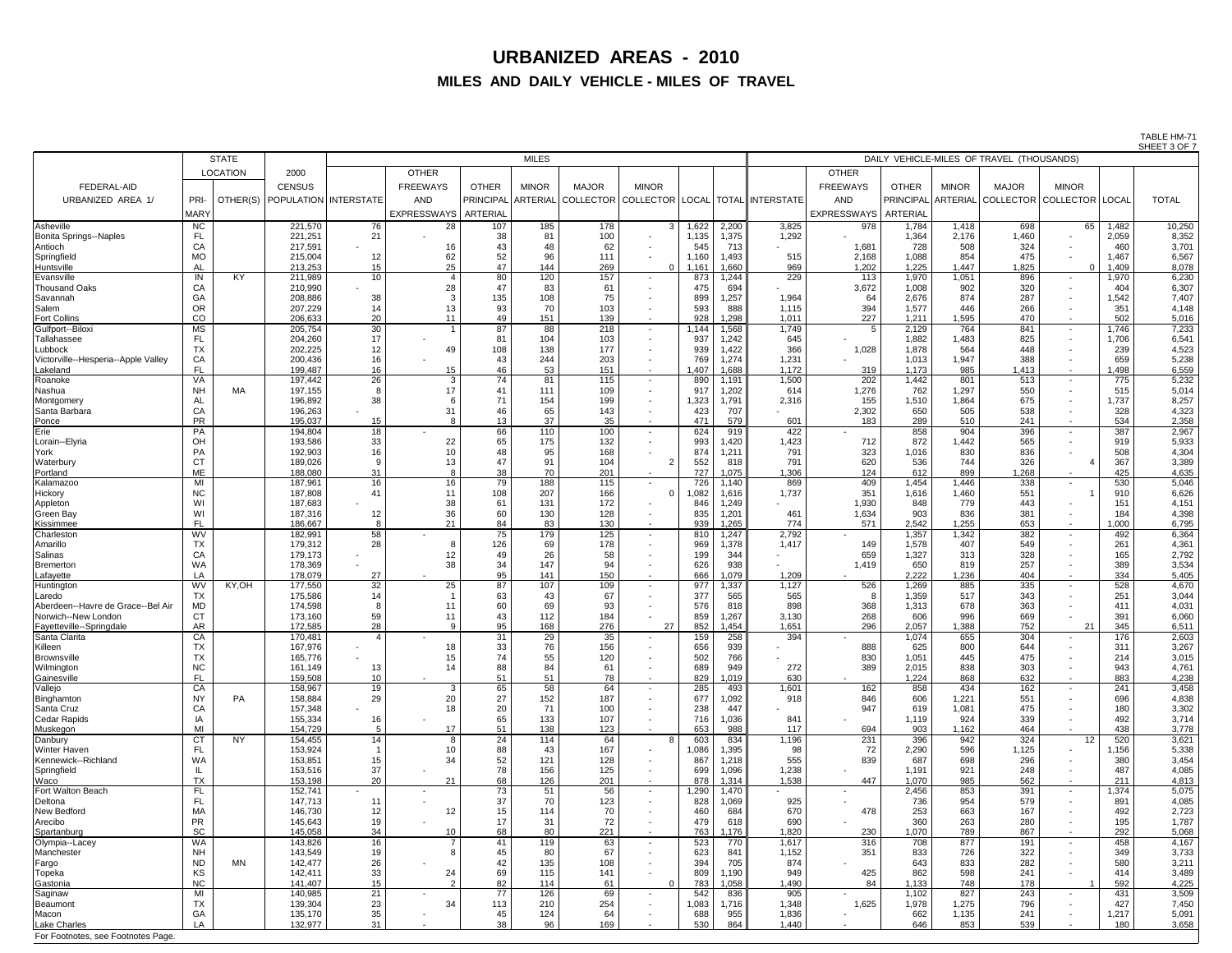TABLE HM-71 SHEET 3 OF 7

|                                         |                        | <b>STATE</b>    | <b>MILES</b>                       |          |                    |                       |                       |              |                          |              | ________<br>DAILY VEHICLE-MILES OF TRAVEL (THOUSANDS) |                                                                     |                 |                 |                |                                              |                   |               |                |  |
|-----------------------------------------|------------------------|-----------------|------------------------------------|----------|--------------------|-----------------------|-----------------------|--------------|--------------------------|--------------|-------------------------------------------------------|---------------------------------------------------------------------|-----------------|-----------------|----------------|----------------------------------------------|-------------------|---------------|----------------|--|
|                                         |                        | <b>LOCATION</b> | 2000                               |          | <b>OTHER</b>       |                       |                       |              |                          |              |                                                       |                                                                     | <b>OTHER</b>    |                 |                |                                              |                   |               |                |  |
| <b>FEDERAL-AID</b>                      |                        |                 | <b>CENSUS</b>                      |          | <b>FREEWAYS</b>    | <b>OTHER</b>          | <b>MINOR</b>          | <b>MAJOR</b> | <b>MINOR</b>             |              |                                                       |                                                                     | <b>FREEWAYS</b> | <b>OTHER</b>    | <b>MINOR</b>   | <b>MAJOR</b>                                 | <b>MINOR</b>      |               |                |  |
| URBANIZED AREA 1/                       | PRI-                   |                 | OTHER(S)   POPULATION   INTERSTATE |          | <b>AND</b>         |                       |                       |              |                          |              |                                                       | PRINCIPAL ARTERIAL COLLECTOR COLLECTOR   LOCAL   TOTAL   INTERSTATE | <b>AND</b>      |                 |                | PRINCIPAL ARTERIAL COLLECTOR COLLECTOR LOCAL |                   |               | <b>TOTAL</b>   |  |
|                                         | <b>MARY</b>            |                 |                                    |          | <b>EXPRESSWAYS</b> | <b>ARTERIAL</b>       |                       |              |                          |              |                                                       |                                                                     | EXPRESSWAYS     | <b>ARTERIAL</b> |                |                                              |                   |               |                |  |
| Asheville                               | <b>NC</b>              |                 | 221,570                            | 76       | 28                 | 107                   | 185                   | 178          | $\mathcal{R}$            | 1,622        | 2,200                                                 | 3,825                                                               | 978             | 1,784           | 1,418          | 698                                          | 65                | .482          | 10,250         |  |
| <b>Bonita Springs--Naples</b>           | FL                     |                 | 221,251                            | 21       |                    | 38                    | 81                    | 100          | $\sim$                   | 1,135        | ,375                                                  | 1,292                                                               |                 | 1,364           | 2,176          | 1,460                                        |                   | 2,059         | 8,352          |  |
| Antioch                                 | C A                    |                 | 217,591                            |          | 16                 | 43                    | 48                    | 62           |                          | 545          | 713                                                   |                                                                     | 1,681           | 728             | 508            | 324                                          |                   | 460           | 3,701          |  |
| Springfield                             | <b>MO</b>              |                 | 215,004                            | 12       | 62                 | 52<br>47              | 96                    | 111          |                          | 1,160        | ,493                                                  | 515                                                                 | 2,168           | 1,088           | 854            | 475                                          | $\Omega$          | .467          | 6,567          |  |
| Huntsville<br>Evansville                | AL<br>IN               | <b>KY</b>       | 213,253<br>211,989                 | 15<br>10 | 25                 | 80                    | 144<br>120            | 269<br>157   |                          | 1,161<br>873 | 0.660<br>, 244                                        | 969<br>229                                                          | 1,202<br>113    | 1,225<br>1,970  | 1,447<br>1,051 | 1,825<br>896                                 |                   | .409<br>1,970 | 8,078<br>6,230 |  |
| Thousand Oaks                           | CA                     |                 | 210,990                            |          | 28                 | 47                    | 83                    | 61           |                          | 475          | 694                                                   |                                                                     | 3,672           | 1,008           | 902            | 320                                          |                   | 404           | 6,307          |  |
| Savannah                                | GA                     |                 | 208,886                            | 38       |                    | 135                   | 108                   | 75           |                          | 899          | ,257                                                  | 1,964                                                               | 64              | 2,676           | 874            | 287                                          |                   | 1,542         | 7,407          |  |
| Salem                                   | <b>OR</b>              |                 | 207,229                            | 14       | 13                 | 93                    | 70                    | 103          |                          | 593          | 888                                                   | 1,115                                                               | 394             | 1,577           | 446            | 266                                          |                   | 351           | 4,148          |  |
| <b>Fort Collins</b><br>Gulfport--Biloxi | CO<br><b>MS</b>        |                 | 206,633<br>205,754                 | 20<br>30 | 11                 | 49<br>87              | 151<br>88             | 139<br>218   | $\sim$<br>$\sim$         | 928<br>1,144 | ,298<br>,568                                          | 1,011<br>1,749                                                      | 227<br>5        | 1,211<br>2,129  | ,595<br>764    | 470<br>841                                   | $\blacksquare$    | 502<br>1,746  | 5,016<br>7,233 |  |
| Tallahassee                             | FL                     |                 | 204,260                            | 17       |                    | 81                    | 104                   | 103          | $\sim$                   | 937          | ,242                                                  | 645                                                                 | $\blacksquare$  | 1,882           | 1,483          | 825                                          |                   | 1,706         | 6,541          |  |
| Lubbock                                 | <b>TX</b>              |                 | 202,225                            | 12       | 49                 | 108                   | 138                   | 177          | $\sim$                   | 939          | ,422                                                  | 366                                                                 | 1,028           | 1,878           | 564            | 448                                          |                   | 239           | 4,523          |  |
| Victorville--Hesperia--Apple Valley     | CA                     |                 | 200,436                            | 16       |                    | 43                    | 244                   | 203          |                          | 769          | ,274                                                  | 1,231                                                               |                 | 1,013           | 1,947          | 388                                          |                   | 659           | 5,238          |  |
| Lakeland<br>Roanoke                     | <b>FL</b><br>VA        |                 | 199,487<br>197,442                 | 16<br>26 | 15<br>3            | 46<br>74              | 53<br>81              | 151<br>115   | $\overline{\phantom{0}}$ | 1,407<br>890 | ,688<br>,191                                          | 1,172<br>1,500                                                      | 319<br>202      | 1,173<br>1,442  | 985<br>801     | 1,413<br>513                                 |                   | ,498<br>775   | 6,559<br>5,232 |  |
| Nashua                                  | <b>NH</b>              | МA              | 197,155                            | 8        | 17                 | 41                    | 111                   | 109          | $\sim$                   | 917          | ,202                                                  | 614                                                                 | 1,276           | 762             | 1,297          | 550                                          |                   | 515           | 5,014          |  |
| Montgomery                              | <b>AL</b>              |                 | 196,892                            | 38       |                    | 71                    | 154                   | 199          | $\sim$                   | 1,323        | ,791                                                  | 2,316                                                               | 155             | 1,510           | 1,864          | 675                                          |                   | 1,737         | 8,257          |  |
| Santa Barbara                           | CA                     |                 | 196,263                            |          | 31                 | 46                    | 65                    | 143          | $\sim$                   | 423          | 707                                                   |                                                                     | 2,302           | 650             | 505            | 538                                          |                   | 328           | 4,323          |  |
| Ponce<br>Erie                           | <b>PR</b><br>PA        |                 | 195,037<br>194,804                 | 15<br>18 |                    | 13<br>66              | 37<br>110             | 35<br>100    | $\sim$                   | 471<br>624   | 579<br>919                                            | 601<br>422                                                          | 183             | 289<br>858      | 510<br>904     | 241<br>396                                   | $\blacksquare$    | 534<br>387    | 2,358<br>2,967 |  |
| Lorain--Elyria                          | OH                     |                 | 193,586                            | 33       | 22                 | 65                    | 175                   | 132          | $\sim$<br>$\sim$         | 993          | ,420                                                  | 1,423                                                               | 712             | 872             | 1,442          | 565                                          |                   | 919           | 5,933          |  |
| York                                    | PA                     |                 | 192,903                            | 16       | 1 <sup>C</sup>     | 48                    | 95                    | 168          |                          | 874          | ,211                                                  | 791                                                                 | 323             | 1,016           | 830            | 836                                          |                   | 508           | 4,304          |  |
| Waterbury                               | <b>CT</b>              |                 | 189,026                            | -9       |                    | 47                    | 91                    | 104          | ົ                        | 552          | 818                                                   | 791                                                                 | 620             | 536             | 744            | 326                                          |                   | 367           | 3,389          |  |
| Portland                                | ME                     |                 | 188,080                            | 31       |                    | 38                    | 70                    | 201          |                          | 727          | ,075                                                  | 1,306                                                               | 124             | 612             | 899            | 1,268                                        |                   | 425           | 4,635          |  |
| Kalamazoo<br>Hickory                    | MI<br><b>NC</b>        |                 | 187,961<br>187,808                 | 16<br>41 | 16<br>11           | 79<br>108             | 188<br>207            | 115<br>166   |                          | 726<br>082   | .140<br>,616                                          | 869<br>1,737                                                        | 409<br>351      | 1,454<br>1,616  | 1,446<br>1,460 | 338<br>551                                   |                   | 530<br>910    | 5,046<br>6,626 |  |
| Appleton                                | WI                     |                 | 187,683                            |          | 38                 | 61                    | 131                   | 172          |                          | 846          | ,249                                                  |                                                                     | 1,930           | 848             | 779            | 443                                          |                   | 151           | 4,151          |  |
| <b>Green Bay</b>                        | WI                     |                 | 187,316                            | 12       | 36                 | 60                    | 130                   | 128          |                          | 835          | ,201                                                  | 461                                                                 | 1,634           | 903             | 836            | 381                                          |                   | 184           | 4,398          |  |
| Kissimmee<br>Charleston                 | FL<br><b>WV</b>        |                 | 186,667                            | 8<br>58  | 21                 | 84<br>$\overline{75}$ | 83<br>179             | 130<br>125   |                          | 939<br>810   | ,265<br>,247                                          | 774<br>2,792                                                        | 571             | 2,542<br>1,357  | 1,255<br>1,342 | 653<br>382                                   |                   | 1,000<br>492  | 6,795<br>6,364 |  |
| Amarillo                                | <b>TX</b>              |                 | 182,991<br>179,312                 | 28       |                    | 126                   | 69                    | 178          | $\overline{\phantom{0}}$ | 969          | ,378                                                  | 1,417                                                               | 149             | 1,578           | 407            | 549                                          |                   | 261           | 4,36'          |  |
| Salinas                                 | C A                    |                 | 179,173                            |          | 12                 | 49                    | 26                    | 58           |                          | 199          | 344                                                   |                                                                     | 659             | 1,327           | 313            | 328                                          |                   | 165           | 2,792          |  |
| Bremerton                               | <b>WA</b>              |                 | 178,369                            |          | 38                 | 34                    | 147                   | 94           |                          | 626          | 938                                                   |                                                                     | 1,419           | 650             | 819            | 257                                          |                   | 389           | 3,534          |  |
| Lafayette                               | LA                     |                 | 178,079                            | 27       |                    | 95                    | 141                   | 150          |                          | 666          | ,079                                                  | 1,209                                                               |                 | 2,222           | .236           | 404                                          |                   | 334           | 5,405          |  |
| Huntington<br>Laredo                    | <b>WV</b><br><b>TX</b> | KY, OH          | 177,550<br>175,586                 | 32<br>14 | 25                 | 87<br>63              | 107<br>43             | 109<br>67    |                          | 977<br>377   | ,337<br>565                                           | 1,127<br>565                                                        | 526<br>8        | 1,269<br>1,359  | 885<br>517     | 335<br>343                                   |                   | 528<br>251    | 4,670<br>3,044 |  |
| Aberdeen--Havre de Grace--Bel Air       | <b>MD</b>              |                 | 174,598                            | 8        |                    | 60                    | 69                    | 93           |                          | 576          | 818                                                   | 898                                                                 | 368             | 1,313           | 678            | 363                                          |                   | 411           | 4,03'          |  |
| Norwich--New London                     | <b>CT</b>              |                 | 173,160                            | 59       |                    | 43                    | 112                   | 184          |                          | 859          | ,267                                                  | 3,130                                                               | 268             | 606             | 996            | 669                                          |                   | 391           | 6,060          |  |
| Fayetteville--Springdale                | <b>AR</b>              |                 | 172,585                            | 28       |                    | 95                    | 168                   | 276          | 27                       | 852          | ,454                                                  | 1,651                                                               | 296             | 2,057           | ,388           | 752                                          | 21                | 345           | 6,51'          |  |
| Santa Clarita<br>Killeen                | CA<br><b>TX</b>        |                 | 170,481<br>167,976                 |          | 18                 | 31<br>33              | 29<br>76              | 35<br>156    |                          | 159<br>656   | 258<br>939                                            | 394                                                                 | 888             | 1,074<br>625    | 655<br>800     | 304<br>644                                   |                   | 176<br>311    | 2,603<br>3,267 |  |
| <b>Brownsville</b>                      | <b>TX</b>              |                 | 165,776                            |          | 15                 | 74                    | 55                    | 120          |                          | 502          | 766                                                   |                                                                     | 830             | 1,051           | 445            | 475                                          |                   | 214           | 3,015          |  |
| Wilmington                              | <b>NC</b>              |                 | 161,149                            | 13       |                    | 88                    | 84                    | 61           |                          | 689          | 949                                                   | 272                                                                 | 389             | 2,015           | 838            | 303                                          |                   | 943           | 4,761          |  |
| Gainesville                             | FL                     |                 | 159,508                            | 10       |                    | 51                    | 51<br>$\overline{58}$ | 78           |                          | 829          | ,019                                                  | 630                                                                 |                 | 1,224           | 868            | 632                                          |                   | 883           | 4,238          |  |
| Vallejo<br>Binghamton                   | CA<br><b>NY</b>        | PA              | 158,967<br>158,884                 | 19<br>29 | 3<br>20            | 65<br>27              | 152                   | 64<br>187    |                          | 285<br>677   | 493<br>,092                                           | 1,601<br>918                                                        | 162<br>846      | 858<br>606      | 434<br>1,221   | 162<br>551                                   |                   | 241<br>696    | 3,458<br>4,838 |  |
| Santa Cruz                              | CA                     |                 | 157,348                            |          | 18                 | 20                    | 71                    | 100          |                          | 238          | 447                                                   |                                                                     | 947             | 619             | 1,081          | 475                                          |                   | 180           | 3,302          |  |
| <b>Cedar Rapids</b>                     | IA                     |                 | 155,334                            | 16       |                    | 65                    | 133                   | 107          |                          | 716          | ,036                                                  | 841                                                                 |                 | 1,119           | 924            | 339                                          |                   | 492           | 3,714          |  |
| Muskegon                                | MI<br><b>CT</b>        | NY.             | 154,729                            | -5<br>14 | 17                 | 51                    | 138<br>114            | 123          |                          | 653          | 988<br>834                                            | 117                                                                 | 694             | 903             | ,162           | 464                                          |                   | 438           | 3,778          |  |
| Danbury<br>Winter Haven                 | FL                     |                 | 154,455<br>153,924                 |          | 10                 | 24<br>88              | 43                    | 64<br>167    |                          | 603<br>1,086 | ,395                                                  | 1,196<br>98                                                         | 231<br>72       | 396<br>2,290    | 942<br>596     | 324<br>1,125                                 | $12 \overline{ }$ | 520<br>1,156  | 3,621<br>5,338 |  |
| Kennewick--Richland                     | <b>WA</b>              |                 | 153,851                            | 15       | 34                 | 52                    | 121                   | 128          |                          | 867          | ,218                                                  | 555                                                                 | 839             | 687             | 698            | 296                                          |                   | 380           | 3,454          |  |
| Springfield                             | ΙL                     |                 | 153,516                            | 37       |                    | 78                    | 156                   | 125          |                          | 699          | ,096                                                  | 1,238                                                               |                 | 1,191           | 921            | 248                                          |                   | 487           | 4,085          |  |
| Waco                                    | <b>TX</b>              |                 | 153,198                            | 20       | 21                 | 68                    | 126                   | 201          |                          | 878          | ,314                                                  | 1,538                                                               | 447             | 1,070           | 985            | 562                                          |                   | 211           | 4,813          |  |
| Fort Walton Beach<br>Deltona            | FL<br><b>FL</b>        |                 | 152,741<br>147,713                 |          |                    | 73<br>37              | 51<br>70              | 56<br>123    |                          | 1,290<br>828 | ,470<br>,069                                          | 925                                                                 |                 | 2,456<br>736    | 853<br>954     | 391<br>579                                   |                   | 1,374<br>891  | 5,075<br>4,085 |  |
| New Bedford                             | MA                     |                 | 146,730                            | 12       | 12                 | 15                    | 114                   | 70           |                          | 460          | 684                                                   | 670                                                                 | 478             | 253             | 663            | 167                                          |                   | 492           | 2,723          |  |
| Arecibo                                 | <b>PR</b>              |                 | 145,643                            | 19       |                    | 17                    | 31                    | 72           |                          | 479          | 618                                                   | 690                                                                 |                 | 360             | 263            | 280                                          |                   | 195           | 1,787          |  |
| Spartanburg                             | SC                     |                 | 145,058                            | 34       | 10                 | 68                    | 80                    | 221          |                          | 763          | ,176                                                  | 1,820                                                               | 230             | 1,070           | 789            | 867                                          |                   | 292           | 5,068          |  |
| Olympia--Lacey<br>Manchester            | <b>WA</b><br><b>NH</b> |                 | 143,826<br>143,549                 | 16<br>19 |                    | 41<br>45              | 119                   | 63<br>67     |                          | 523<br>623   | 770<br>841                                            | 1,617<br>1,152                                                      | 316<br>351      | 708<br>833      | 877<br>726     | 191<br>322                                   |                   | 458<br>349    | 4,167<br>3,733 |  |
| Fargo                                   | <b>ND</b>              | <b>MN</b>       | 142,477                            | 26       |                    | 42                    | 135                   | 108          |                          | 394          | 705                                                   | 874                                                                 |                 | 643             | 833            | 282                                          |                   | 580           | 3,21'          |  |
| Topeka                                  | KS                     |                 | 142,411                            | 33       | 24                 | 69                    | 115                   | 141          |                          | 809          | ,190                                                  | 949                                                                 | 425             | 862             | 598            | 241                                          |                   | 414           | 3,489          |  |
| Gastonia                                | <b>NC</b>              |                 | 141,407                            | 15       |                    | 82                    | 114                   | 61           |                          | 783          | ,058                                                  | 1,490                                                               | 84              | 1,133           | 748            | 178                                          |                   | 592           | 4,225          |  |
| Saginaw<br>Beaumont                     | MI<br><b>TX</b>        |                 | 140,985<br>139,304                 | 21<br>23 | 34                 | 77<br>113             | 126<br>210            | 69<br>254    | $\sim$                   | 542<br>1,083 | 836<br>,716                                           | 905<br>1,348                                                        | $\sim$<br>1,625 | 1,102<br>1,978  | 827<br>1,275   | 243<br>796                                   |                   | 431<br>427    | 3,509<br>7,450 |  |
| Macon                                   | GA                     |                 | 135,170                            | 35       |                    | 45                    | 124                   | 64           |                          | 688          | 955                                                   | 1,836                                                               |                 | 662             | 1,135          | 241                                          |                   | 1,217         | 5,091          |  |
| <b>Lake Charles</b>                     | LA                     |                 | 132,977                            | 31       |                    | 38                    | 96                    | 169          |                          | 530          | 864                                                   | 1,440                                                               |                 | 646             | 853            | 539                                          |                   | 180           | 3,658          |  |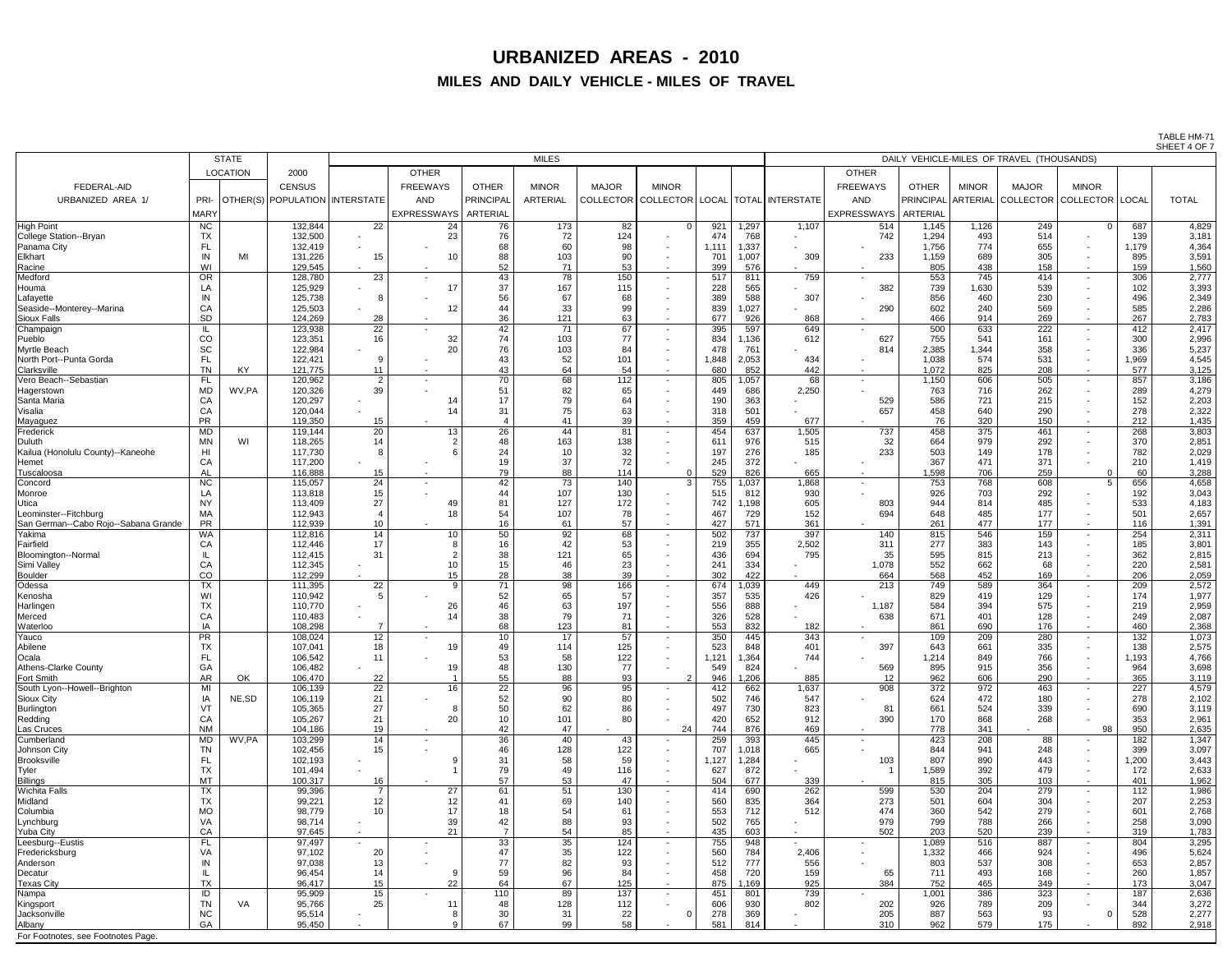TABLE HM-71 SHEFT 4 OF 7

|                                      |                |                 |                                    |                       |                        |                       |                 |              |                                                    |                 |            |                                           |                        |                  |              |                                      |                          |            | UILLI HUI      |  |
|--------------------------------------|----------------|-----------------|------------------------------------|-----------------------|------------------------|-----------------------|-----------------|--------------|----------------------------------------------------|-----------------|------------|-------------------------------------------|------------------------|------------------|--------------|--------------------------------------|--------------------------|------------|----------------|--|
|                                      |                | <b>STATE</b>    |                                    | <b>MILES</b>          |                        |                       |                 |              |                                                    |                 |            | DAILY VEHICLE-MILES OF TRAVEL (THOUSANDS) |                        |                  |              |                                      |                          |            |                |  |
|                                      |                | <b>LOCATION</b> | 2000                               |                       | <b>OTHER</b>           |                       |                 |              |                                                    |                 |            |                                           | <b>OTHER</b>           |                  |              |                                      |                          |            |                |  |
|                                      |                |                 |                                    |                       |                        |                       |                 |              |                                                    |                 |            |                                           |                        |                  |              |                                      |                          |            |                |  |
| <b>FEDERAL-AID</b>                   |                |                 | <b>CENSUS</b>                      |                       | <b>FREEWAYS</b>        | <b>OTHER</b>          | <b>MINOR</b>    | <b>MAJOR</b> | <b>MINOR</b>                                       |                 |            |                                           | <b>FREEWAYS</b>        | <b>OTHER</b>     | <b>MINOR</b> | <b>MAJOR</b>                         | <b>MINOR</b>             |            |                |  |
| URBANIZED AREA 1/                    | PRI-           |                 | OTHER(S)   POPULATION   INTERSTATE |                       | <b>AND</b>             | <b>PRINCIPAL</b>      | <b>ARTERIAL</b> |              | COLLECTOR   COLLECTOR   LOCAL   TOTAL   INTERSTATE |                 |            |                                           | <b>AND</b>             | <b>PRINCIPAL</b> |              | . ARTERIAL COLLECTOR COLLECTOR LOCAL |                          |            | <b>TOTAL</b>   |  |
|                                      | <b>MARY</b>    |                 |                                    |                       | EXPRESSWAYS   ARTERIAL |                       |                 |              |                                                    |                 |            |                                           | EXPRESSWAYS   ARTERIAL |                  |              |                                      |                          |            |                |  |
| <b>High Point</b>                    | <b>NC</b>      |                 | 132,844                            | 22                    | 24                     | 76                    | 173             | 82           | $\cap$                                             | 921             | 1,297      | 1,107                                     | 514                    | 1,145            | 1,126        | 249                                  |                          | 687        | 4,829          |  |
| College Station--Bryan               | <b>TX</b>      |                 | 132,500                            | $\blacksquare$        | 23                     | 76                    | 72              | 124          |                                                    | 474             | 768        |                                           | 742                    | 1,294            | 493          | 514                                  |                          | 139        | 3,181          |  |
| Panama City                          | FL             |                 | 132,419                            |                       |                        | 68                    | 60              | 98           |                                                    | ,11             | ,337       |                                           |                        | 1,756            | 774          | 655                                  | $\sim$                   | 1,179      | 4,364          |  |
| <b>Elkhart</b>                       | IN             | MI              | 131,226                            | 15                    |                        | 88                    | 103             | 90           |                                                    | 70              | 1,007      | 309                                       | 233                    | 1,159            | 689          | 305                                  | $\sim$                   | 895        | 3,591          |  |
| Racine                               | WI             |                 | 129,545                            | $\blacksquare$        |                        | 52                    | 71              | 53           |                                                    | 399             | 576        |                                           |                        | 805              | 438          | 158                                  | $\sim$                   | 159        | 1,560          |  |
| Medford                              | <b>OR</b>      |                 | 128,780                            | 23                    |                        | 43                    | 78              | 150          |                                                    | 517             | 811        | 759                                       |                        | 553              | 745          | 414                                  | $\sim$                   | 306        | 2,777          |  |
| Houma                                | LA             |                 | 125,929                            |                       |                        | 37                    | 167             | 115          |                                                    | 228             | 565        |                                           | 382                    | 739              | 1,630        | 539                                  | $\sim$                   | 102        | 3,393          |  |
| Lafayette                            | IN             |                 | 125,738                            | -8                    |                        | 56                    | 67              | 68           |                                                    | 389             | 588        | 307                                       |                        | 856              | 460          | 230                                  |                          | 496        | 2,349          |  |
| Seaside--Monterey--Marina            | CA             |                 | 125,503                            |                       |                        |                       | 33              | 99           |                                                    | 839             | ,027       |                                           | 290                    | 602              | 240          | 569                                  | $\sim$                   | 585        | 2,286          |  |
| <b>Sioux Falls</b>                   | <b>SD</b>      |                 | 124,269                            | 28                    |                        | 36                    | 121             | 63           |                                                    | 677             | 926        | 868                                       |                        | 466              | 914          | 269                                  | $\sim$                   | 267        | 2,783          |  |
| Champaign                            |                |                 | 123,938                            | $\overline{22}$       |                        | 42                    | $\overline{71}$ | 67           |                                                    | 395             | 597        | 649                                       |                        | 500              | 633          | 222                                  | $\sim$                   | 412        | 2,417          |  |
| Pueblo                               | CO             |                 | 123,351                            | 16                    | 32                     | 74                    | 103             | 77           |                                                    | 834             | ,136       | 612                                       | 627                    | 755              | 541          | 161                                  | $\sim$                   | 300        | 2,996          |  |
| Myrtle Beach                         | SC             |                 | 122,984                            |                       | 20                     | 76                    | 103             | 84           |                                                    | 478             | 761        |                                           | 814                    | 2,385            | 1,344        | 358                                  |                          | 336        | 5,237          |  |
| North Port--Punta Gorda              | <b>FL</b>      |                 | 122,421                            |                       |                        | 43                    | 52              | 101          |                                                    | 1,848           | 2,053      | 434                                       |                        | 1,038            | 574          | 531                                  | $\overline{\phantom{0}}$ | 1,969      | 4,545          |  |
| Clarksville                          | <b>TN</b>      | <b>KY</b>       | 121,775                            | 11                    |                        | 43                    | 64              | 54           |                                                    | 680             | 852        | 442                                       |                        | 1,072            | 825          | 208                                  | $\sim$                   | 577        | 3,125          |  |
| Vero Beach--Sebastian                | FL             |                 | 120,962                            | $\overline{2}$        |                        | 70                    | 68              | 112          |                                                    | 805             | ,057       | 68                                        | $\sim$ 100 $\mu$       | 1,150            | 606          | 505                                  | $\sim$                   | 857        | 3,186          |  |
| Hagerstown                           | <b>MD</b>      | WV,PA           | 120,326                            | 39                    |                        | 51                    | 82              | 65           |                                                    | 449             | 686        | 2,250                                     |                        | 763              | 716          | 262                                  |                          | 289        | 4,279          |  |
| Santa Maria                          | CA             |                 | 120,297                            |                       |                        | 17                    | 79              | 64           |                                                    | 190             | 363        |                                           | 529                    | 586              | 721          | 215                                  | $\sim$                   | 152        | 2,203          |  |
| Visalia                              | CA             |                 | 120,044                            |                       |                        | 31                    | 75              | 63           |                                                    | 318             | 501        |                                           | 657                    | 458              | 640          | 290                                  |                          | 278        | 2,322          |  |
| Mayaguez                             | <b>PR</b>      |                 | 119,350                            | 15                    |                        |                       | 41              | 39           |                                                    | 359             | 459        | 677                                       |                        | 76               | 320          | 150                                  | $\sim$                   | 212        | 1,435          |  |
| Frederick                            | MD             |                 | 119,144                            | 20                    | 13                     | 26                    | 44              | 81           |                                                    | 454             | 637        | 1,505                                     | 737                    | 458              | 375          | 461                                  | $\sim$                   | 268        | 3,803          |  |
| Duluth                               | <b>MN</b>      | WI              | 118,265                            | 14                    |                        | 48                    | 163             | 138          |                                                    | 61 <sup>′</sup> | 976        | 515                                       | 32                     | 664              | 979          | 292                                  |                          | 370        | 2,851          |  |
| Kailua (Honolulu County)--Kaneohe    | H <sub>l</sub> |                 | 117,730                            |                       |                        | 24                    | 10              | 32           |                                                    | 197             | 276        | 185                                       | 233                    | 503              | 149          | 178                                  |                          | 782        | 2,029          |  |
| Hemet                                | CA             |                 | 117,200                            |                       |                        |                       | 37              | 72           |                                                    | 245             | 372        |                                           |                        | 367              | 471          | 371                                  |                          | 210        | 1,419          |  |
| Tuscaloosa                           | AI             |                 | 116,888                            | 15                    |                        | 79                    | 88              | 114          |                                                    | 529             | 826        | 665                                       |                        | 1,598            | 706          | 259                                  |                          | 60         | 3,288          |  |
| Concord                              | <b>NC</b>      |                 | 115,057                            | 24                    |                        | 42                    | 73              | 140          | -3                                                 | 755             | 1,037      | 1,868                                     |                        | 753              | 768          | 608                                  |                          | 656        | 4,658          |  |
| Monroe                               | LA             |                 | 113,818                            | 15                    |                        | 44                    | 107             | 130          |                                                    | 515             | 812        | 930                                       |                        | 926              | 703          | 292                                  |                          | 192        | 3,043          |  |
| Utica                                | <b>NY</b>      |                 | 113,409                            | 27                    | 49                     | 81                    | 127             | 172          |                                                    | 742             | ,198       | 605                                       | 803                    | 944              | 814          | 485                                  |                          | 533        | 4,183          |  |
| Leominster--Fitchburg                | <b>MA</b>      |                 | 112,943                            |                       |                        | 54                    | 107             | 78           |                                                    | 467             | 729        | 152                                       | 694                    | 648              | 485          | 177                                  |                          | 501        | 2,657          |  |
| San German--Cabo Rojo--Sabana Grande | <b>PR</b>      |                 | 112,939                            | 10                    |                        | 16                    | 61              | 57           |                                                    | 427             | 571        | 361                                       |                        | 261              | 477          | 177                                  | $\overline{\phantom{0}}$ | 116        | 1,391          |  |
| Yakima                               | WA             |                 | 112,816                            | 14                    | 10 <sup>1</sup>        | 50                    | 92              | 68           |                                                    | 502             | 737        | 397                                       | 140                    | 815              | 546          | 159                                  | $\sim$                   | 254        | 2,311          |  |
| Fairfield                            | CA             |                 | 112,446                            | 17                    |                        | 16                    | 42              | 53           |                                                    | 219             | 355        | 2,502                                     | 311                    | 277              | 383          | 143                                  | $\sim$                   | 185        | 3,801          |  |
| Bloomington--Normal                  |                |                 | 112,415                            | 31                    |                        | 38                    | 121             | 65           |                                                    | 436             | 694        | 795                                       | 35                     | 595              | 815          | 213                                  |                          | 362        | 2,815          |  |
| Simi Valley                          | CA             |                 | 112,345                            |                       |                        | 15                    | 46              | 23           |                                                    | 241             | 334        |                                           | 1,078                  | 552              | 662          | 68                                   |                          | 220        | 2,581          |  |
| <b>Boulder</b>                       | CO             |                 | 112,299                            |                       |                        | 28                    | 38              | 39           |                                                    | 302             | 422        |                                           | 664                    | 568              | 452          | 169                                  | $\sim$                   | 206        | 2,059          |  |
| Odessa                               | <b>TX</b>      |                 | 111,395                            | 22                    |                        | 71                    | 98              | 166          |                                                    | 674             | ,039       | 449                                       | 213                    | 749              | 589          | 364                                  | $\sim$                   | 209        | 2,572          |  |
| Kenosha                              | WI             |                 | 110,942                            |                       |                        | 52                    | 65              | 57           |                                                    | 357             | 535        | 426                                       |                        | 829              | 419          | 129                                  |                          | 174        | 1,977          |  |
| Harlingen                            | <b>TX</b>      |                 | 110,770                            |                       | 26                     | 46                    | 63              | 197          |                                                    | 556             | 888        |                                           | 1,187                  | 584              | 394          | 575                                  |                          | 219        | 2,959          |  |
| Merced                               | CA             |                 | 110,483                            |                       |                        | 38                    | 79              | 71           |                                                    | 326             | 528        |                                           | 638                    | 671              | 401          | 128                                  |                          | 249        | 2,087          |  |
| Waterloo                             | IA             |                 | 108,298                            |                       |                        | 68                    | 123             | 81           |                                                    | 553             | 832        | 182                                       |                        | 861              | 690          | 176                                  | $\sim$                   | 460        | 2,368          |  |
| Yauco                                | <b>PR</b>      |                 | 108,024                            | 12                    |                        | 10                    | 17              | 57           |                                                    | 350             | 445        | 343                                       |                        | 109              | 209          | 280                                  | $\sim$                   | $132$      | 1,073          |  |
| Abilene                              | <b>TX</b>      |                 | 107,041                            | 18                    | 19                     | 49                    | 114             | 125          |                                                    | 523             | 848        | 401                                       | 397                    | 643              | 661          | 335                                  | $\sim$                   | 138        | 2,575          |  |
| Ocala                                | FL             |                 | 106,542                            | 11                    |                        | 53                    | 58              | 122          |                                                    | ,121            | ,364       | 744                                       |                        | 1,214            | 849          | 766                                  | $\sim$                   | ,193       | 4,766          |  |
| <b>Athens-Clarke County</b>          | GA             |                 | 106,482                            |                       |                        | 48                    | 130             | 77           | $\overline{2}$                                     | 549             | 824        |                                           | 569                    | 895              | 915          | 356                                  | $\sim$                   | 964        | 3,698          |  |
| Fort Smith                           | <b>AR</b>      | OK              | 106,470                            | 22                    |                        | 55                    | 88              | 93           |                                                    | 946             | ,206       | 885                                       | 12                     | 962              | 606          | 290                                  | $\sim$                   | 365        | 3,119          |  |
| South Lyon--Howell--Brighton         | MI<br>IA       | NE, SD          | 106,139<br>106,119                 | $\overline{22}$<br>21 |                        | $\overline{22}$<br>52 | 96<br>90        | 95<br>80     |                                                    | 412             | 662<br>746 | 1,637<br>547                              | 908                    | 372<br>624       | 972<br>472   | 463<br>180                           | $\sim$                   | 227<br>278 | 4,579<br>2,102 |  |
| <b>Sioux City</b><br>Burlington      | VT             |                 | 105,365                            | 27                    |                        | 50                    | 62              | 86           |                                                    | 502<br>497      | 730        | 823                                       | 8 <sup>7</sup>         | 661              | 524          | 339                                  |                          | 690        | 3,119          |  |
| Redding                              | CA             |                 | 105,267                            | 21                    | 20                     | 10                    | 101             | 80           |                                                    | 420             | 652        | 912                                       | 390                    | 170              | 868          | 268                                  |                          | 353        | 2,961          |  |
| Las Cruces                           | <b>NM</b>      |                 | 104,186                            | 19                    |                        | 42                    | 47              |              | 24                                                 | 744             | 876        | 469                                       |                        | 778              | 341          |                                      | 98                       | 950        | 2,635          |  |
| Cumberland                           | <b>MD</b>      | WV,PA           | 103,299                            | 14                    |                        | 36                    | 40              | 43           |                                                    | 259             | 393        | 445                                       |                        | 423              | 208          | 88                                   |                          | 182        | 1,347          |  |
| Johnson City                         | <b>TN</b>      |                 | 102,456                            | 15                    |                        | 46                    | 128             | 122          |                                                    | 707             | ,018       | 665                                       |                        | 844              | 941          | 248                                  |                          | 399        | 3,097          |  |
| <b>Brooksville</b>                   | <b>FL</b>      |                 | 102,193                            |                       |                        | 31                    | 58              | 59           |                                                    | ,127            | ,284       |                                           | 103                    | 807              | 890          | 443                                  | $\sim$                   | ,200       | 3,443          |  |
| <b>Tyler</b>                         | <b>TX</b>      |                 | 101,494                            |                       |                        | 79                    | 49              | 116          |                                                    | 627             | 872        |                                           |                        | 1,589            | 392          | 479                                  | $\overline{\phantom{0}}$ | 172        | 2,633          |  |
| <b>Billings</b>                      | <b>MT</b>      |                 | 100,317                            | 16                    |                        | 57                    | 53              | 47           |                                                    | 504             | 677        | 339                                       |                        | 815              | 305          | 103                                  | $\sim$                   | 401        | 1,962          |  |
| <b>Wichita Falls</b>                 | <b>TX</b>      |                 | 99,396                             | $\overline{ }$        | 27                     | 61                    | $\overline{51}$ | 130          |                                                    | 414             | 690        | 262                                       | 599                    | 530              | 204          | 279                                  | $\sim$                   | 112        | 1,986          |  |
| Midland                              | <b>TX</b>      |                 | 99,221                             | 12                    | 12 <sup>2</sup>        | 41                    | 69              | 140          |                                                    | 560             | 835        | 364                                       | 273                    | 501              | 604          | 304                                  |                          | 207        | 2,253          |  |
| Columbia                             | <b>MO</b>      |                 | 98,779                             | 10                    |                        | 18                    | 54              | 61           |                                                    | 553             | 712        | 512                                       | 474                    | 360              | 542          | 279                                  |                          | 601        | 2,768          |  |
| Lynchburg                            | VA             |                 | 98,714                             | $\sim$                | 39                     | 42                    | 88              | 93           | $\overline{\phantom{0}}$                           | 502             | 765        |                                           | 979                    | 799              | 788          | 266                                  | $\sim$                   | 258        | 3,090          |  |
| Yuba City                            | CA             |                 | 97,645                             | $\sim$                | 21                     | $\overline{ }$        | 54              | 85           |                                                    | 435             | 603        |                                           | 502                    | 203              | 520          | 239                                  | $\sim$                   | 319        | 1,783          |  |
| Leesburg--Eustis                     | <b>FL</b>      |                 | 97,497                             |                       | $\sim$                 | 33                    | 35              | 124          |                                                    | 755             | 948        |                                           |                        | 1,089            | 516          | 887                                  | $\sim$                   | 804        | 3,295          |  |
| Fredericksburg                       | VA             |                 | 97,102                             | 20                    |                        |                       | 35              | 122          |                                                    | 560             | 784        | 2,406                                     |                        | 1,332            | 466          | 924                                  | $\sim$                   | 496        | 5,624          |  |
| Anderson                             | IN             |                 | 97,038                             | 13                    |                        | 77                    | 82              | 93           |                                                    | 512             | 777        | 556                                       |                        | 803              | 537          | 308                                  | $\overline{\phantom{0}}$ | 653        | 2,857          |  |
| Decatur                              |                |                 | 96,454                             | 14                    |                        | 59                    | 96              | 84           |                                                    | 458             | 720        | 159                                       | 65                     | 711              | 493          | 168                                  | $\overline{\phantom{0}}$ | 260        | 1,857          |  |
| <b>Texas City</b>                    | <b>TX</b>      |                 | 96,417                             | 15                    | 22                     | 64                    | 67              | 125          |                                                    | 875             | ,169       | 925                                       | 384                    | 752              | 465          | 349                                  | $\sim$                   | 173        | 3,047          |  |
| Nampa                                | ID             |                 | 95,909                             | 15                    |                        | 110                   | 89              | 137          |                                                    | 451             | 801        | 739                                       |                        | 1,001            | 386          | 323                                  | $\sim$                   | 187        | 2,636          |  |
| Kingsport                            | <b>TN</b>      | <b>VA</b>       | 95,766                             | 25                    |                        | 48                    | 128             | 112          |                                                    | 606             | 930        | 802                                       | 202                    | 926              | 789          | 209                                  |                          | 344        | 3,272          |  |
| Jacksonville                         | <b>NC</b>      |                 | 95,514                             | $\sim$                |                        | 30                    | 31              | 22           |                                                    | 278             | 369        |                                           | 205                    | 887              | 563          | 93                                   |                          | 528        | 2,277          |  |
| Albany                               | GA             |                 | 95,450                             |                       |                        | 67                    | 99              | 58           |                                                    | 581             | 814        |                                           | 310                    | 962              | 579          | 175                                  |                          | 892        | 2,918          |  |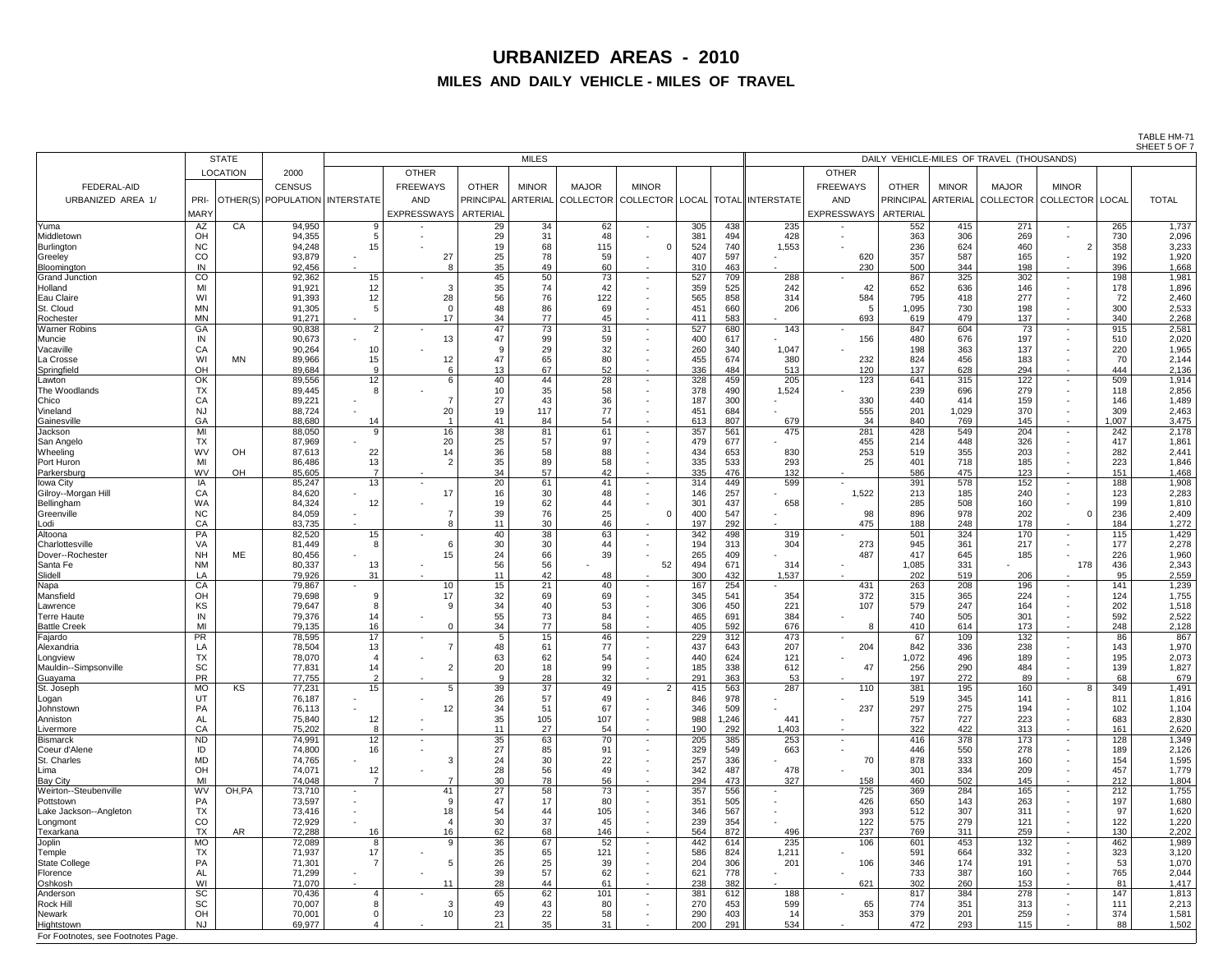TABLE HM-71 SHEET 5 OF 7

|                                    |                 | <b>STATE</b>    |                                       | <b>MILES</b>    |                    |                       |              |              |                                            |            |            | - - - - -<br>DAILY VEHICLE-MILES OF TRAVEL (THOUSANDS)        |                 |                 |              |                                              |                          |            |                |
|------------------------------------|-----------------|-----------------|---------------------------------------|-----------------|--------------------|-----------------------|--------------|--------------|--------------------------------------------|------------|------------|---------------------------------------------------------------|-----------------|-----------------|--------------|----------------------------------------------|--------------------------|------------|----------------|
|                                    |                 | <b>LOCATION</b> | 2000                                  |                 | <b>OTHER</b>       |                       |              |              |                                            |            |            |                                                               | <b>OTHER</b>    |                 |              |                                              |                          |            |                |
| <b>FEDERAL-AID</b>                 |                 |                 | <b>CENSUS</b>                         |                 | <b>FREEWAYS</b>    | <b>OTHER</b>          | <b>MINOR</b> | <b>MAJOR</b> | <b>MINOR</b>                               |            |            |                                                               | <b>FREEWAYS</b> | <b>OTHER</b>    | <b>MINOR</b> | <b>MAJOR</b>                                 | <b>MINOR</b>             |            |                |
| URBANIZED AREA 1/                  |                 |                 | PRI- OTHER(S) POPULATION   INTERSTATE |                 | <b>AND</b>         |                       |              |              |                                            |            |            | PRINCIPAL ARTERIAL COLLECTOR COLLECTOR LOCAL TOTAL INTERSTATE | <b>AND</b>      |                 |              | PRINCIPAL ARTERIAL COLLECTOR COLLECTOR LOCAL |                          |            | <b>TOTAL</b>   |
|                                    | <b>MARY</b>     |                 |                                       |                 | <b>EXPRESSWAYS</b> | <b>ARTERIAL</b>       |              |              |                                            |            |            |                                                               | EXPRESSWAYS     | <b>ARTERIAL</b> |              |                                              |                          |            |                |
| Yuma                               | AZ              | CA              | 94,950                                |                 |                    | 29                    | 34           | 62           | $\sim$                                     | 305        | 438        | 235                                                           |                 | 552             | 415          | 271                                          | $\sim$                   | 265        | 1,737          |
| Middletown                         | OH              |                 | 94,355                                |                 |                    | 29                    | 31           | 48           |                                            | 381        | 494        | 428                                                           | $\sim$          | 363             | 306          | 269                                          |                          | 730        | 2,096          |
| Burlington                         | <b>NC</b>       |                 | 94,248                                |                 |                    | 19                    | 68           | 115          |                                            | 524        | 740        | 1,553                                                         |                 | 236             | 624          | 460                                          | $\overline{2}$           | 358        | 3,233          |
| Greeley                            | CO              |                 | 93,879                                |                 | 27                 | 25                    | 78           | 59           |                                            | 407        | 597        |                                                               | 62 <sub>C</sub> | 357             | 587          | 165                                          |                          | 192        | 1,920          |
| Bloomington                        | IN              |                 | 92,456                                |                 |                    | 35 <sub>1</sub>       | 49           | 60           | $\sim$                                     | 310        | 463        |                                                               | 230             | 500             | 344          | 198                                          | $\sim$                   | 396        | 1,668          |
| <b>Grand Junction</b><br>Holland   | CO<br>MI        |                 | 92,362<br>91,921                      | 15<br>12        |                    | 45<br>35              | 50<br>74     | 73<br>42     | $\overline{\phantom{0}}$                   | 527<br>359 | 709<br>525 | 288<br>242                                                    | 42              | 867<br>652      | 325<br>636   | 302<br>146                                   | $\sim$                   | 198<br>178 | 1,981<br>1,896 |
| <b>Eau Claire</b>                  | WI              |                 | 91,393                                | 12              | 28                 | 56                    | 76           | 122          | $\overline{\phantom{a}}$                   | 565        | 858        | 314                                                           | 584             | 795             | 418          | 277                                          |                          | 72         | 2,460          |
| St. Cloud                          | <b>MN</b>       |                 | 91,305                                |                 |                    | 48                    | 86           | 69           | $\blacksquare$                             | 451        | 660        | 206                                                           |                 | 1,095           | 730          | 198                                          |                          | 300        | 2,533          |
| Rochester                          | <b>MN</b>       |                 | 91,271                                |                 | 17                 | 34                    | 77           | 45           | $\sim$                                     | 411        | 583        |                                                               | 693             | 619             | 479          | 137                                          | $\sim$                   | 340        | 2,268          |
| <b>Warner Robins</b>               | GA              |                 | 90,838                                | ົ               |                    | 47                    | 73           | 31           | $\sim$                                     | 527        | 680<br>617 | 143                                                           |                 | 847<br>480      | 604<br>676   | 73                                           | $\sim$                   | 915<br>510 | 2,581          |
| Muncie<br>Vacaville                | IN<br>CA        |                 | 90,673<br>90,264                      | 10              | 13                 | 9                     | 99<br>29     | 59<br>32     | $\overline{\phantom{a}}$<br>$\blacksquare$ | 400<br>260 | 340        | 1,047                                                         | 156             | 198             | 363          | 197<br>137                                   | $\sim$                   | 220        | 2,020<br>1,965 |
| La Crosse                          | WI              | <b>MN</b>       | 89,966                                | 15              | 12                 | 47                    | 65           | 80           | $\overline{\phantom{a}}$                   | 455        | 674        | 380                                                           | 232             | 824             | 456          | 183                                          |                          | 70         | 2,144          |
| Springfield                        | OH              |                 | 89,684                                |                 |                    | 13 <sup>°</sup>       | 67           | 52           | $\sim$                                     | 336        | 484        | 513                                                           | 120             | 137             | 628          | 294                                          | $\overline{\phantom{0}}$ | 444        | 2,136          |
| Lawton                             | OK              |                 | 89,556                                | 12 <sup>°</sup> |                    | 40                    | 44           | 28           | $\overline{\phantom{0}}$                   | 328        | 459        | 205                                                           | 123             | 641             | 315          | 122                                          | $\overline{\phantom{0}}$ | 509        | 1,914          |
| The Woodlands<br>Chico             | <b>TX</b><br>CA |                 | 89,445<br>89,221                      |                 |                    | 10 <sup>°</sup><br>27 | 35<br>43     | 58<br>36     | $\overline{\phantom{0}}$                   | 378<br>187 | 490<br>300 | 1,524                                                         | 330             | 239<br>440      | 696<br>414   | 279<br>159                                   |                          | 118<br>146 | 2,856<br>1,489 |
| Vineland                           | <b>NJ</b>       |                 | 88,724                                |                 | 20                 | 19                    | 117          | 77           | $\overline{\phantom{0}}$                   | 451        | 684        |                                                               | 555             | 201             | 1,029        | 370                                          |                          | 309        | 2,463          |
| Gainesville                        | GA              |                 | 88,680                                | 14              |                    | 41                    | 84           | 54           | $\overline{\phantom{0}}$                   | 613        | 807        | 679                                                           | 34              | 840             | 769          | 145                                          | $\sim$                   | 1,007      | 3,475          |
| Jackson                            | MI              |                 | 88,050                                |                 | 16                 | 38                    | 81           | 61           | $\sim$                                     | 357        | 561        | 475                                                           | 281             | 428             | 549          | 204                                          | $\sim$                   | 242        | 2,178          |
| San Angelo                         | <b>TX</b>       |                 | 87,969                                |                 | 20                 | 25                    | 57           | 97           |                                            | 479        | 677        |                                                               | 455             | 214             | 448          | 326                                          |                          | 417        | 1,861          |
| Wheeling<br>Port Huron             | <b>WV</b><br>MI | OH              | 87,613<br>86,486                      | 22<br>13        | 14                 | 36<br>35              | 58<br>89     | 88<br>58     | $\overline{\phantom{a}}$                   | 434<br>335 | 653<br>533 | 830<br>293                                                    | 253<br>25       | 519<br>401      | 355<br>718   | 203<br>185                                   |                          | 282<br>223 | 2,441<br>1,846 |
| Parkersburg                        | <b>WV</b>       | OH              | 85,605                                |                 |                    | 34                    | 57           | 42           |                                            | 335        | 476        | 132                                                           |                 | 586             | 475          | 123                                          |                          | 151        | 1,468          |
| Iowa City                          | IA              |                 | 85,247                                | 13              |                    | 20                    | 61           | 41           |                                            | 314        | 449        | 599                                                           |                 | 391             | 578          | 152                                          |                          | 188        | 1,908          |
| Gilroy--Morgan Hill                | СA              |                 | 84,620                                |                 | 17                 | 16                    | 30           | 48           |                                            | 146        | 257        |                                                               | 1,522           | 213             | 185          | 240                                          |                          | 123        | 2,283          |
| Bellingham                         | WA              |                 | 84,324                                | 12              |                    | 19                    | 62           | 44           |                                            | 301        | 437        | 658                                                           |                 | 285             | 508          | 160                                          |                          | 199        | 1,810          |
| Greenville<br>Lodi                 | <b>NC</b><br>CA |                 | 84,059<br>83,735                      |                 |                    | 39<br>11              | 76<br>30     | 25<br>46     |                                            | 400<br>197 | 547<br>292 |                                                               | 98<br>475       | 896<br>188      | 978<br>248   | 202<br>178                                   |                          | 236<br>184 | 2,409<br>1,272 |
| Altoona                            | $\overline{PA}$ |                 | 82,520                                | 15              |                    | 40                    | 38           | 63           | $\overline{\phantom{0}}$                   | 342        | 498        | 319                                                           |                 | 501             | 324          | 170                                          |                          | 115        | 1,429          |
| Charlottesville                    | VA              |                 | 81,449                                |                 |                    | 30                    | 30           | 44           |                                            | 194        | 313        | 304                                                           | 273             | 945             | 361          | 217                                          |                          | 177        | 2,278          |
| Dover--Rochester                   | <b>NH</b>       | ME              | 80,456                                |                 | 15                 | 24                    | 66           | 39           |                                            | 265        | 409        |                                                               | 487             | 417             | 645          | 185                                          |                          | 226        | 1,960          |
| Santa Fe                           | <b>NM</b>       |                 | 80,337                                | 13              |                    | 56                    | 56           |              | 52                                         | 494        | 671        | 314                                                           |                 | 1,085           | 331          |                                              | 178                      | 436        | 2,343          |
| Slidell<br>Napa                    | LA<br>CA        |                 | 79,926<br>79,867                      | 31              | 10                 | 11<br>15              | 42<br>21     | 48<br>40     | $\blacksquare$                             | 300<br>167 | 432<br>254 | 1,537                                                         | 431             | 202<br>263      | 519<br>208   | 206<br>196                                   |                          | 95<br>141  | 2,559<br>1,239 |
| Mansfield                          | OH              |                 | 79,698                                |                 | 17                 | 32                    | 69           | 69           |                                            | 345        | 541        | 354                                                           | 372             | 315             | 365          | 224                                          |                          | 124        | 1,755          |
| Lawrence                           | <b>KS</b>       |                 | 79,647                                |                 |                    | 34                    | 40           | 53           |                                            | 306        | 450        | 221                                                           | 107             | 579             | 247          | 164                                          |                          | 202        | 1,518          |
| <b>Terre Haute</b>                 | IN              |                 | 79,376                                |                 |                    | 55                    | 73           | 84           |                                            | 465        | 691        | 384                                                           |                 | 740             | 505          | 301                                          |                          | 592        | 2,522          |
| <b>Battle Creek</b><br>Fajardo     | MI<br><b>PR</b> |                 | 79,135                                | 16<br>17        |                    | 34                    | 77<br>15     | 58<br>46     |                                            | 405<br>229 | 592<br>312 | 676<br>473                                                    |                 | 410<br>67       | 614<br>109   | 173<br>132                                   |                          | 248<br>86  | 2,128<br>867   |
| Alexandria                         | LA              |                 | 78,595<br>78,504                      | 13              |                    | 48                    | 61           | 77           |                                            | 437        | 643        | 207                                                           | 204             | 842             | 336          | 238                                          |                          | 143        | 1,970          |
| Longview                           | <b>TX</b>       |                 | 78,070                                |                 |                    | 63                    | 62           | 54           |                                            | 440        | 624        | 121                                                           |                 | 1,072           | 496          | 189                                          |                          | 195        | 2,073          |
| Mauldin--Simpsonville              | <b>SC</b>       |                 | 77,831                                |                 |                    | 20                    | 18           | 99           |                                            | 185        | 338        | 612                                                           | 47              | 256             | 290          | 484                                          |                          | 139        | 1,827          |
| Guayama                            | <b>PR</b>       |                 | 77,755                                |                 |                    | 9                     | 28           | 32           |                                            | 291        | 363        | 53                                                            |                 | 197             | 272          | 89                                           |                          | 68         | 679            |
| St. Joseph<br>Logan                | <b>MO</b><br>UT | KS.             | 77,231<br>76,187                      | 15              |                    | 39<br>26              | 37<br>57     | 49<br>49     |                                            | 415<br>846 | 563<br>978 | 287                                                           | 110             | 381<br>519      | 195<br>345   | 160<br>141                                   |                          | 349<br>811 | 1,491<br>1,816 |
| Johnstown                          | PA              |                 | 76,113                                |                 | 12                 | 34                    | 51           | 67           |                                            | 346        | 509        |                                                               | 237             | 297             | 275          | 194                                          |                          | 102        | 1,104          |
| Anniston                           | AL              |                 | 75,840                                | 12              |                    | 35                    | 105          | 107          |                                            | 988        | ,246       | 441                                                           |                 | 757             | 727          | 223                                          |                          | 683        | 2,830          |
| Livermore                          | CA              |                 | 75,202                                |                 |                    | 11                    | 27           | 54           |                                            | 190        | 292        | 1,403                                                         |                 | 322             | 422          | 313                                          |                          | 161        | 2,620          |
| <b>Bismarck</b>                    | <b>ND</b>       |                 | 74,991                                | 12<br>16        |                    | 35                    | 63           | 70           |                                            | 205        | 385        | 253                                                           |                 | 416             | 378          | 173                                          |                          | 128        | 1,349          |
| Coeur d'Alene<br>St. Charles       | ID<br>MD        |                 | 74,800<br>74,765                      |                 |                    | 27<br>24              | 85<br>30     | 91<br>22     |                                            | 329<br>257 | 549<br>336 | 663                                                           | 70              | 446<br>878      | 550<br>333   | 278<br>160                                   |                          | 189<br>154 | 2,126<br>1,595 |
| Lima                               | OH              |                 | 74,071                                | $\Lambda$       |                    | 28                    | 56           | 49           |                                            | 342        | 487        | 478                                                           |                 | 301             | 334          | 209                                          |                          | 457        | 1,779          |
| <b>Bay City</b>                    | MI              |                 | 74,048                                |                 |                    | 30                    | 78           | 56           |                                            | 294        | 473        | 327                                                           | 158             | 460             | 502          | 145                                          |                          | 212        | 1,804          |
| Weirton--Steubenville              | <b>WV</b>       | OH, PA          | 73,710                                |                 | 41                 | 27                    | 58           | 73           |                                            | 357        | 556        |                                                               | 725             | 369             | 284          | 165                                          |                          | 212        | 1,755          |
| Pottstown                          | PA              |                 | 73,597                                |                 |                    | 47                    | 17           | 80           |                                            | 351        | 505        |                                                               | 426             | 650             | 143          | 263                                          |                          | 197        | 1,680          |
| Lake Jackson--Angleton<br>Longmont | TX<br>CO        |                 | 73,416<br>72,929                      |                 | 18                 | 54<br>30              | 44<br>37     | 105<br>45    |                                            | 346<br>239 | 567<br>354 |                                                               | 393<br>122      | 512<br>575      | 307<br>279   | 311<br>121                                   |                          | 97<br>122  | 1,620<br>1,220 |
| Texarkana                          | <b>TX</b>       | AR              | 72,288                                | 16              | 16                 | 62                    | 68           | 146          |                                            | 564        | 872        | 496                                                           | 237             | 769             | 311          | 259                                          |                          | 130        | 2,202          |
| Joplin                             | <b>MO</b>       |                 | 72,089                                | 8               |                    | 36                    | 67           | 52           | $\sim$                                     | 442        | 614        | 235                                                           | 106             | 601             | 453          | 132                                          |                          | 462        | 1,989          |
| Temple                             | <b>TX</b>       |                 | 71,937                                | 17              |                    | 35                    | 65           | 121          | $\sim$                                     | 586        | 824        | 1,211                                                         |                 | 591             | 664          | 332                                          |                          | 323        | 3,120          |
| <b>State College</b>               | <b>PA</b>       |                 | 71,301                                |                 | 5                  | 26                    | 25           | 39           |                                            | 204        | 306        | 201                                                           | 106             | 346             | 174          | 191                                          |                          | 53         | 1,070          |
| Florence<br>Oshkosh                | AL<br>WI        |                 | 71,299<br>71,070                      |                 | 11                 | 39<br>28              | 57<br>44     | 62<br>61     | $\sim$                                     | 621<br>238 | 778<br>382 |                                                               | 621             | 733<br>302      | 387<br>260   | 160<br>153                                   |                          | 765<br>81  | 2,044<br>1,417 |
| Anderson                           | <b>SC</b>       |                 | 70,436                                |                 |                    | 65                    | 62           | 101          | $\sim$                                     | 381        | 612        | 188                                                           |                 | 817             | 384          | 278                                          |                          | 147        | 1,813          |
| Rock Hill                          | <b>SC</b>       |                 | 70,007                                |                 | -3                 | 49                    | 43           | 80           | $\sim$                                     | 270        | 453        | 599                                                           | 65              | 774             | 351          | 313                                          |                          | 111        | 2,213          |
| Newark                             | OH              |                 | 70,001                                |                 | 10                 | 23                    | 22           | 58           |                                            | 290        | 403        | 14                                                            | 353             | 379             | 201          | 259                                          |                          | 374        | 1,581          |
| Hightstown                         | <b>NJ</b>       |                 | 69,977                                |                 |                    | 21 <sup>1</sup>       | 35           | 31           |                                            | 200        | 291        | 534                                                           |                 | 472             | 293          | 115                                          |                          | 88         | 1,502          |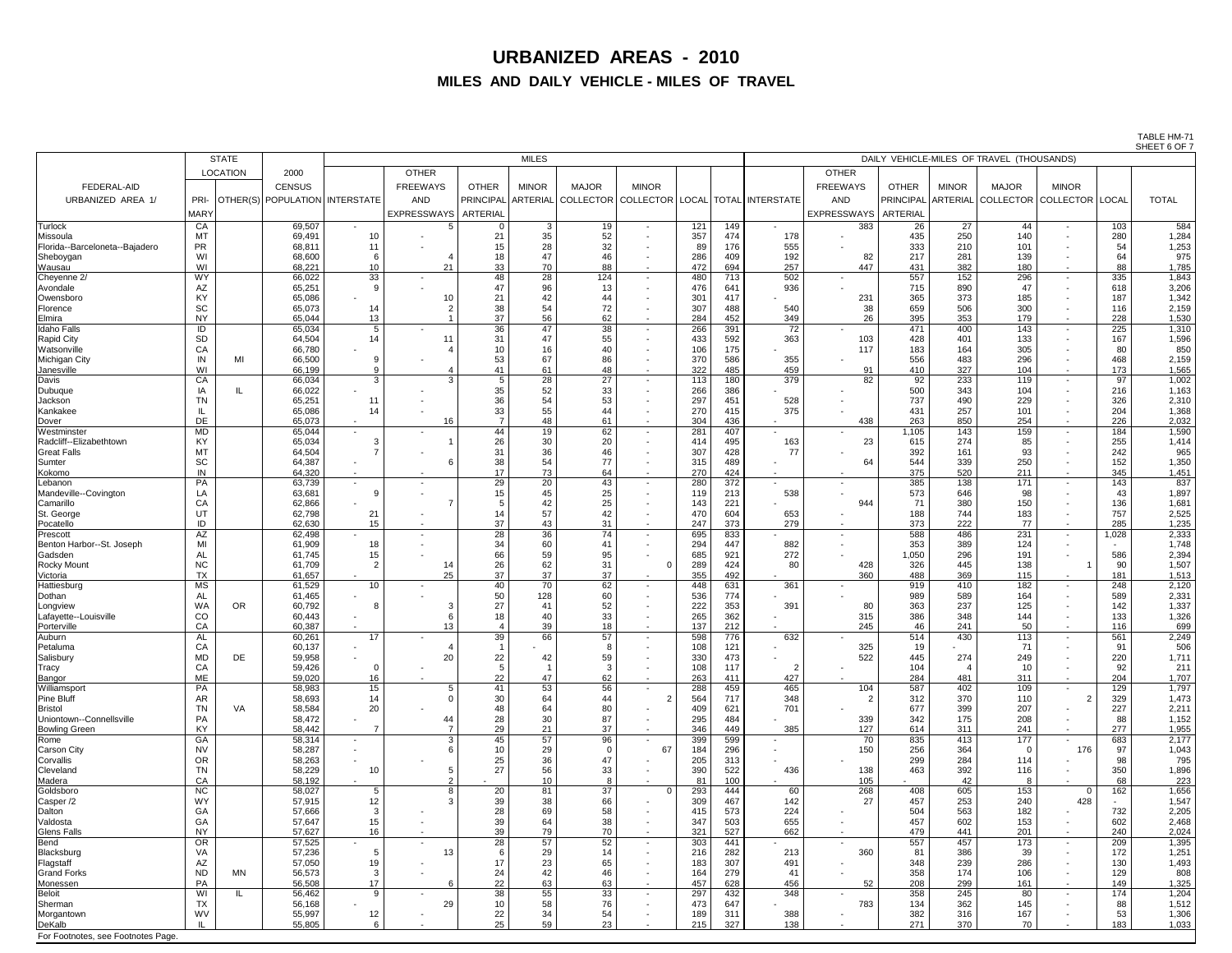TABLE HM-71 SHEET 6 OF 7

|                                 | <b>STATE</b>           |                                    | <b>MILES</b>           |                        |                       |              |                                                                   |                                                      |            |            | DAILY VEHICLE-MILES OF TRAVEL (THOUSANDS) |                  |                 |              |                                              |                          |            |                |  |
|---------------------------------|------------------------|------------------------------------|------------------------|------------------------|-----------------------|--------------|-------------------------------------------------------------------|------------------------------------------------------|------------|------------|-------------------------------------------|------------------|-----------------|--------------|----------------------------------------------|--------------------------|------------|----------------|--|
|                                 | <b>LOCATION</b>        | 2000                               |                        | <b>OTHER</b>           |                       |              |                                                                   |                                                      |            |            |                                           | <b>OTHER</b>     |                 |              |                                              |                          |            |                |  |
| <b>FEDERAL-AID</b>              |                        | <b>CENSUS</b>                      |                        | <b>FREEWAYS</b>        | <b>OTHER</b>          | <b>MINOR</b> | <b>MAJOR</b>                                                      | <b>MINOR</b>                                         |            |            |                                           | <b>FREEWAYS</b>  | <b>OTHER</b>    | <b>MINOR</b> | <b>MAJOR</b>                                 | <b>MINOR</b>             |            |                |  |
| URBANIZED AREA 1/               | PRI-                   | OTHER(S)   POPULATION   INTERSTATE |                        | <b>AND</b>             |                       |              | PRINCIPAL ARTERIAL COLLECTOR COLLECTOR   LOCAL   TOTAL INTERSTATE |                                                      |            |            |                                           | <b>AND</b>       |                 |              | PRINCIPAL ARTERIAL COLLECTOR COLLECTOR LOCAL |                          |            | <b>TOTAL</b>   |  |
|                                 | <b>MARY</b>            |                                    |                        | EXPRESSWAYS   ARTERIAL |                       |              |                                                                   |                                                      |            |            |                                           | EXPRESSWAYS      | <b>ARTERIAL</b> |              |                                              |                          |            |                |  |
| <b>Turlock</b>                  | CA                     | 69,507                             | $\sim$                 |                        | $\overline{0}$        | $\mathbf{3}$ | 19                                                                | $\sim$                                               | 121        | 149        | $\sim$ 100 $\mu$                          | 383              | 26              | 27           | 44                                           | $\sim$                   | 103        | 584            |  |
| Missoula                        | <b>MT</b>              | 69,491                             | 10                     |                        | 21                    | 35           | 52                                                                | $\blacksquare$                                       | 357        | 474        | 178                                       |                  | 435             | 250          | 140                                          |                          | 280        | 1,284          |  |
| Florida--Barceloneta--Bajadero  | <b>PR</b>              | 68,811                             | 11                     |                        | 15                    | 28           | 32                                                                | $\blacksquare$                                       | 89         | 176        | 555                                       |                  | 333             | 210          | 101                                          |                          | 54         | 1,253          |  |
| Sheboygan                       | WI                     | 68,600                             |                        |                        | 18                    |              | 46                                                                | $\overline{\phantom{0}}$                             | 286        | 409        | 192                                       | 82               | 217             | 281          | 139                                          |                          | 64         | 975            |  |
| Wausau                          | WI<br><b>WY</b>        | 68,221                             | 10                     | 21                     | 33                    | 70           | 88                                                                | $\sim$                                               | 472        | 694        | 257                                       | 447              | 431             | 382          | 180                                          | $\overline{\phantom{0}}$ | 88         | 1,785          |  |
| Cheyenne 2/<br>Avondale         | AZ                     | 66,022<br>65,251                   | 33                     |                        | 48<br>47              | 28<br>96     | 124<br>13                                                         | $\sim$<br>$\sim$                                     | 480<br>476 | 713<br>641 | 502<br>936                                | $\sim$           | 557<br>715      | 152<br>890   | 296<br>47                                    | $\overline{\phantom{0}}$ | 335<br>618 | 1,843<br>3,206 |  |
| Owensboro                       | KY                     | 65,086                             |                        | 10                     | 21                    | 42           | 44                                                                | $\sim$                                               | 301        | 417        |                                           | 231              | 365             | 373          | 185                                          |                          | 187        | 1,342          |  |
| Florence                        | <b>SC</b>              | 65,073                             | 14                     |                        | 38                    | 54           | 72                                                                | $\overline{\phantom{0}}$                             | 307        | 488        | 540                                       | 38               | 659             | 506          | 300                                          |                          | 116        | 2,159          |  |
| Elmira                          | <b>NY</b>              | 65,044                             | 13                     |                        | 37                    | 56           | 62                                                                | $\overline{\phantom{0}}$                             | 284        | 452        | 349                                       | 26               | 395             | 353          | 179                                          | $\sim$                   | 228        | 1,530          |  |
| <b>Idaho Falls</b>              | ID                     | 65,034                             | 5<br>14                | 11                     | 36<br>31              | 47<br>47     | 38<br>55                                                          | $\sim$                                               | 266<br>433 | 391<br>592 | 72<br>363                                 | $\sim$           | 471<br>428      | 400<br>401   | 143<br>133                                   | $\blacksquare$           | 225<br>167 | 1,310          |  |
| Rapid City<br>Watsonville       | <b>SD</b><br>CA        | 64,504<br>66,780                   |                        |                        | 10                    | 16           | 40                                                                | $\overline{\phantom{0}}$<br>$\blacksquare$           | 106        | 175        |                                           | 103<br>117       | 183             | 164          | 305                                          |                          | 80         | 1,596<br>850   |  |
| Michigan City                   | IN<br>MI               | 66,500                             |                        |                        | 53                    | 67           | 86                                                                | $\sim$                                               | 370        | 586        | 355                                       |                  | 556             | 483          | 296                                          |                          | 468        | 2,159          |  |
| <b>Janesville</b>               | WI                     | 66,199                             |                        |                        | 41                    | 61           | 48                                                                | $\sim$                                               | 322        | 485        | 459                                       | 91               | 410             | 327          | 104                                          |                          | 173        | 1,565          |  |
| <b>Davis</b>                    | CA                     | 66,034                             | $\mathbf{r}$           | ົດ                     | 5                     | 28           | 27                                                                | $\sim$                                               | 113        | 180        | 379                                       | 82               | 92              | 233          | 119                                          |                          | 97         | 1,002          |  |
| Dubuque<br>Jackson              | IA<br><b>TN</b>        | 66,022<br>65,251                   | -11                    |                        | 35<br>36              | 52<br>54     | 33<br>53                                                          | $\sim$                                               | 266<br>297 | 386<br>451 | 528                                       |                  | 500<br>737      | 343<br>490   | 104<br>229                                   |                          | 216<br>326 | 1,163          |  |
| Kankakee                        |                        | 65,086                             | 14                     |                        | 33                    | 55           | 44                                                                | $\blacksquare$                                       | 270        | 415        | 375                                       |                  | 431             | 257          | 101                                          |                          | 204        | 2,310<br>1,368 |  |
| Dover                           | DE                     | 65,073                             |                        | 16                     |                       | 48           | 61                                                                |                                                      | 304        | 436        | $\overline{\phantom{a}}$                  | 438              | 263             | 850          | 254                                          |                          | 226        | 2,032          |  |
| Westminster                     | <b>MD</b>              | 65,044                             |                        |                        | 44                    | 19           | 62                                                                | $\blacksquare$                                       | 281        | 407        |                                           |                  | 1,105           | 143          | 159                                          |                          | 184        | 1,590          |  |
| Radcliff--Elizabethtown         | <b>KY</b>              | 65,034                             |                        |                        | 26                    | 30           | 20                                                                | $\sim$                                               | 414        | 495        | 163                                       | 23               | 615             | 274          | 85                                           |                          | 255        | 1,414          |  |
| <b>Great Falls</b><br>Sumter    | <b>MT</b><br><b>SC</b> | 64,504<br>64,387                   |                        |                        | 31<br>38              | 36<br>54     | 46<br>77                                                          | $\overline{\phantom{0}}$                             | 307<br>315 | 428<br>489 | 77                                        | 64               | 392<br>544      | 161<br>339   | 93<br>250                                    |                          | 242<br>152 | 965<br>1,350   |  |
| Kokomo                          | IN                     | 64,320                             |                        |                        | 17                    | 73           | 64                                                                |                                                      | 270        | 424        |                                           |                  | 375             | 520          | 211                                          |                          | 345        | 1,451          |  |
| Lebanon                         | <b>PA</b>              | 63,739                             |                        |                        | 29                    | 20           | 43                                                                |                                                      | 280        | 372        |                                           |                  | 385             | 138          | 171                                          |                          | 143        | 837            |  |
| Mandeville--Covington           | LA                     | 63,681                             |                        |                        | 15                    |              | 25                                                                |                                                      | 119        | 213        | 538                                       |                  | 573             | 646          | 98                                           |                          | 43         | 1,897          |  |
| Camarillo                       | CA                     | 62,866                             |                        |                        |                       |              | 25                                                                |                                                      | 143        | 221        |                                           | 944              | 71              | 380          | 150                                          |                          | 136        | 1,681          |  |
| St. George<br>Pocatello         | UT<br>ID               | 62,798<br>62,630                   | 21<br>15               |                        | 37                    | 57<br>43     | 42<br>31                                                          |                                                      | 470<br>247 | 604<br>373 | 653<br>279                                |                  | 188<br>373      | 744<br>222   | 183<br>77                                    |                          | 757<br>285 | 2,525<br>1,235 |  |
| Prescott                        | AZ                     | 62,498                             |                        |                        | 28                    | 36           | 74                                                                |                                                      | 695        | 833        |                                           | $\sim$           | 588             | 486          | 231                                          |                          | 1,028      | 2,333          |  |
| Benton Harbor--St. Joseph       | MI                     | 61,909                             | 18                     |                        | 34                    | 60           | 41                                                                |                                                      | 294        | 447        | 882                                       |                  | 353             | 389          | 124                                          |                          |            | 1,748          |  |
| Gadsden                         | AL                     | 61,745                             |                        |                        | 66                    | 59           | 95                                                                |                                                      | 685        | 921        | 272                                       |                  | 1,050           | 296          | 191                                          |                          | 586        | 2,394          |  |
| <b>Rocky Mount</b><br>Victoria  | <b>NC</b><br><b>TX</b> | 61,709<br>61,657                   |                        | 14<br>25               | 26<br>37              | 62<br>37     | 31<br>37                                                          |                                                      | 289<br>355 | 424<br>492 | 80                                        | 428<br>360       | 326<br>488      | 445<br>369   | 138<br>115                                   |                          | 90<br>181  | 1,507<br>1,513 |  |
| Hattiesburg                     | <b>MS</b>              | 61,529                             | 10                     |                        | 40                    | 70           | 62                                                                | $\sim$                                               | 448        | 631        | 361                                       |                  | 919             | 410          | 182                                          |                          | 248        | 2,120          |  |
| Dothan                          | <b>AL</b>              | 61,465                             |                        |                        | 50                    | 128          | 60                                                                |                                                      | 536        | 774        |                                           |                  | 989             | 589          | 164                                          |                          | 589        | 2,331          |  |
| Longview                        | <b>WA</b><br><b>OR</b> | 60,792                             |                        |                        | 27                    |              | 52                                                                | $\overline{\phantom{0}}$                             | 222        | 353        | 391                                       | 80               | 363             | 237          | 125                                          |                          | 142        | 1,337          |  |
| Lafayette--Louisville           | CO                     | 60,443                             |                        |                        | 18                    |              | 33                                                                |                                                      | 265        | 362        |                                           | 315              | 386             | 348          | 144                                          |                          | 133        | 1,326          |  |
| Porterville<br>Auburn           | CA<br>AL               | 60,387<br>60,261                   | 17                     | 13                     | 39                    | 39<br>66     | 18<br>57                                                          |                                                      | 137<br>598 | 212<br>776 | 632                                       | 245              | 46<br>514       | 241<br>430   | 50<br>113                                    |                          | 116<br>561 | 699<br>2,249   |  |
| Petaluma                        | CA                     | 60,137                             |                        |                        |                       |              |                                                                   |                                                      | 108        | 121        |                                           | 325              | 19              |              | 71                                           |                          | 91         | 506            |  |
| Salisbury                       | <b>MD</b><br>DE        | 59,958                             |                        | 20                     | 22                    | 42           | 59                                                                |                                                      | 330        | 473        |                                           | 522              | 445             | 274          | 249                                          |                          | 220        | 1,711          |  |
| <b>Tracy</b>                    | CA                     | 59,426                             |                        |                        |                       |              | 3                                                                 |                                                      | 108        | 117        | $\overline{2}$                            |                  | 104             |              | 10                                           |                          | 92         | 211            |  |
| Bangor<br>Williamsport          | ME<br><b>PA</b>        | 59,020<br>58,983                   | 16<br>15 <sub>15</sub> |                        | 22<br>41              | 53           | 62<br>56                                                          |                                                      | 263<br>288 | 411<br>459 | 427<br>465                                | 104              | 284<br>587      | 481<br>402   | 311<br>109                                   |                          | 204<br>129 | 1,707<br>1,797 |  |
| <b>Pine Bluff</b>               | AR                     | 58,693                             | 14                     |                        | 30                    | 64           | 44                                                                |                                                      | 564        | 717        | 348                                       |                  | 312             | 370          | 110                                          |                          | 329        | 1,473          |  |
| <b>Bristol</b>                  | <b>TN</b><br>VA        | 58,584                             | 20                     |                        | 48                    | 64           | 80                                                                |                                                      | 409        | 621        | 701                                       |                  | 677             | 399          | 207                                          |                          | 227        | 2,211          |  |
| Uniontown--Connellsville        | PA                     | 58,472                             |                        | 44                     | 28                    | 30           | 87                                                                |                                                      | 295        | 484        |                                           | 339              | 342             | 175          | 208                                          |                          | 88         | 1,152          |  |
| <b>Bowling Green</b>            | <b>KY</b>              | 58,442                             |                        |                        | 29                    | 21           | 37                                                                |                                                      | 346        | 449        | 385                                       | 127              | 614             | 311          | 241                                          |                          | 277        | 1,955          |  |
| Rome<br><b>Carson City</b>      | GA<br><b>NV</b>        | 58,314<br>58,287                   |                        | $\mathbf{3}$           | 45<br>10 <sup>°</sup> | 57<br>29     | 96                                                                | 67                                                   | 399<br>184 | 599<br>296 |                                           | 70<br>150        | 835<br>256      | 413<br>364   | 177<br>$\overline{0}$                        | 176                      | 683<br>97  | 2,177<br>1,043 |  |
| Corvallis                       | <b>OR</b>              | 58,263                             |                        |                        | 25                    | 36           |                                                                   |                                                      | 205        | 313        |                                           |                  | 299             | 284          | 114                                          |                          | 98         | 795            |  |
| Cleveland                       | <b>TN</b>              | 58,229                             | 10                     |                        | 27                    | 56           | 33                                                                |                                                      | 390        | 522        | 436                                       | 138              | 463             | 392          | 116                                          |                          | 350        | 1,896          |  |
| Madera                          | CA                     | 58,192                             |                        |                        |                       | 10           |                                                                   |                                                      | 81         | 100        |                                           | 105              |                 | 42           | -8                                           |                          | 68         | 223            |  |
| Goldsboro                       | <b>NC</b><br><b>WY</b> | 58,027<br>57,915                   | 12                     |                        | 20<br>39              | 81<br>38     | 37<br>66                                                          |                                                      | 293<br>309 | 444<br>467 | 60<br>142                                 | 268<br>27        | 408<br>457      | 605<br>253   | 153<br>240                                   | 428                      | 162        | 1,656<br>1,547 |  |
| Casper /2<br>Dalton             | GА                     | 57,666                             |                        |                        | 28                    | 69           | 58                                                                | $\overline{\phantom{0}}$                             | 415        | 573        | 224                                       |                  | 504             | 563          | 182                                          |                          | 732        | 2,205          |  |
| Valdosta                        | GA                     | 57,647                             | 15                     |                        | 39                    | 64           | 38                                                                |                                                      | 347        | 503        | 655                                       |                  | 457             | 602          | 153                                          |                          | 602        | 2,468          |  |
| <b>Glens Falls</b>              | <b>NY</b>              | 57,627                             | 16 <sup>°</sup>        |                        | 39                    | 79           | 70                                                                | $\sim$                                               | 321        | 527        | 662                                       | $\sim$           | 479             | 441          | 201                                          |                          | 240        | 2,024          |  |
| <b>Bend</b>                     | OR                     | 57,525                             | $\sim$                 |                        | 28                    | 57           | 52                                                                |                                                      | 303        | 441        |                                           | $\sim$           | 557             | 457          | 173                                          |                          | 209        | 1,395          |  |
| Blacksburg                      | VA<br>AZ               | 57,236<br>57,050                   |                        | 13                     | 6<br>17               | 29<br>23     | 14<br>65                                                          | $\overline{\phantom{0}}$<br>$\overline{\phantom{0}}$ | 216<br>183 | 282<br>307 | 213<br>491                                | 360              | 81<br>348       | 386<br>239   | 39<br>286                                    |                          | 172<br>130 | 1,251<br>1,493 |  |
| Flagstaff<br><b>Grand Forks</b> | <b>ND</b><br>MN        | 56,573                             |                        |                        | 24                    | 42           | 46                                                                | $\sim$                                               | 164        | 279        | 41                                        |                  | 358             | 174          | 106                                          |                          | 129        | 808            |  |
| Monessen                        | PA                     | 56,508                             | 17                     |                        | 22                    | 63           | 63                                                                |                                                      | 457        | 628        | 456                                       | 52               | 208             | 299          | 161                                          |                          | 149        | 1,325          |  |
| <b>Beloit</b>                   | WI                     | 56,462                             | 9                      |                        | 38                    | 55           | 33                                                                | $\sim$                                               | 297        | 432        | 348                                       | $\sim$ 100 $\mu$ | 358             | 245          | 80                                           |                          | 174        | 1,204          |  |
| Sherman                         | <b>TX</b>              | 56,168                             |                        | 29                     | 10 <sup>°</sup>       | 58           | 76                                                                | $\sim$                                               | 473        | 647        |                                           | 783              | 134             | 362          | 145                                          |                          | 88         | 1,512          |  |
| Morgantown<br><b>DeKalb</b>     | <b>WV</b>              | 55,997<br>55,805                   | 12                     |                        | 22<br>25              | 34<br>59     | 54<br>23                                                          | $\sim$                                               | 189<br>215 | 311<br>327 | 388<br>138                                |                  | 382<br>271      | 316<br>370   | 167<br>70                                    |                          | 53<br>183  | 1,306<br>1,033 |  |
|                                 |                        |                                    |                        |                        |                       |              |                                                                   |                                                      |            |            |                                           |                  |                 |              |                                              |                          |            |                |  |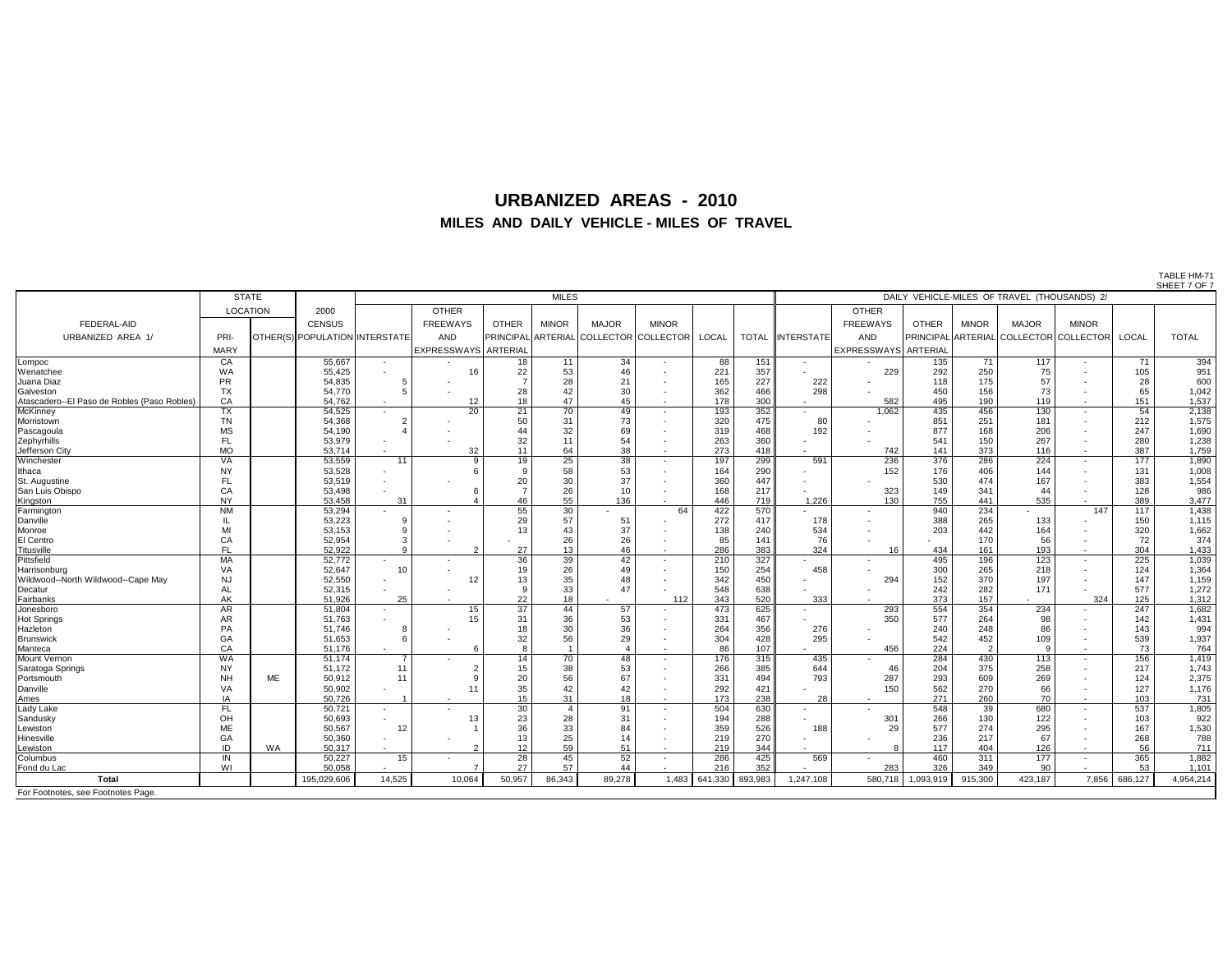TABLE HM-71

|                                             |                 |                 |                                |        |                        |                    |                |              |                     |              | SHEET 7 OF 7<br>DAILY VEHICLE-MILES OF TRAVEL (THOUSANDS) 2/ |                   |                             |              |              |                                        |              |            |                |
|---------------------------------------------|-----------------|-----------------|--------------------------------|--------|------------------------|--------------------|----------------|--------------|---------------------|--------------|--------------------------------------------------------------|-------------------|-----------------------------|--------------|--------------|----------------------------------------|--------------|------------|----------------|
|                                             |                 | <b>STATE</b>    |                                |        |                        |                    | <b>MILES</b>   |              |                     |              |                                                              |                   |                             |              |              |                                        |              |            |                |
|                                             |                 | <b>LOCATION</b> | 2000                           |        | <b>OTHER</b>           |                    |                |              |                     |              |                                                              |                   | <b>OTHER</b>                |              |              |                                        |              |            |                |
| <b>FEDERAL-AID</b>                          |                 |                 | <b>CENSUS</b>                  |        | <b>FREEWAYS</b>        | <b>OTHER</b>       | <b>MINOR</b>   | <b>MAJOR</b> | <b>MINOR</b>        |              |                                                              |                   | <b>FREEWAYS</b>             | <b>OTHER</b> | <b>MINOR</b> | <b>MAJOR</b>                           | <b>MINOR</b> |            |                |
|                                             |                 |                 |                                |        |                        |                    |                |              |                     |              |                                                              |                   |                             |              |              |                                        |              |            |                |
| URBANIZED AREA 1/                           | PRI-            |                 | OTHER(S) POPULATION INTERSTATE |        | AND                    | PRINCIPAL ARTERIAL |                |              | COLLECTOR COLLECTOR | <b>LOCAL</b> | <b>TOTAL</b>                                                 | <b>INTERSTATE</b> | <b>AND</b>                  |              |              | PRINCIPAL ARTERIAL COLLECTOR COLLECTOR |              | LOCAL      | <b>TOTAL</b>   |
|                                             | <b>MARY</b>     |                 |                                |        | EXPRESSWAYS   ARTERIAL |                    |                |              |                     |              |                                                              |                   | <b>EXPRESSWAYS ARTERIAL</b> |              |              |                                        |              |            |                |
| Lompoc                                      | CA              |                 | 55,667                         | $\sim$ |                        | 18                 | 11             | 34           | $\sim$              | 88           | 151                                                          | $\sim$            |                             | 135          | 71           | 117                                    |              | 71         | 394            |
| Wenatchee                                   | <b>WA</b>       |                 | 55,425                         |        | 16                     | 22                 | 53             | 46           |                     | 221          | 357                                                          |                   | 229                         | 292          | 250          | 75                                     |              | 105        | 951            |
| Juana Diaz                                  | <b>PR</b>       |                 | 54,835                         |        |                        |                    | 28             | 21           |                     | 165          | 227                                                          | 222               |                             | 118          | 175          | 57                                     |              | 28         | 600            |
| Galveston                                   | <b>TX</b>       |                 | 54,770                         |        |                        | 28                 | 42             | 30           |                     | 362          | 466                                                          | 298               |                             | 450          | 156          | 73                                     |              | 65         | 1,042          |
| Atascadero--El Paso de Robles (Paso Robles) | CA              |                 | 54,762                         |        | 12                     | 18                 | 47             | 45           |                     | 178          | 300                                                          |                   | 582                         | 495          | 190          | 119                                    |              | 151        | 1,537          |
| McKinney                                    | <b>TX</b>       |                 | 54,525                         |        | 20                     | 21                 | 70             | 49           |                     | 193          | 352                                                          |                   | 1,062                       | 435          | 456          | 130                                    |              | 54         | 2,138          |
| Morristown                                  | <b>TN</b>       |                 | 54,368                         |        |                        | 50                 | 31             | 73           |                     | 320          | 475                                                          | 80                |                             | 851          | 251          | 181                                    |              | 212        | 1,575          |
| Pascagoula                                  | <b>MS</b>       |                 | 54,190                         |        |                        | 44                 | 32             | 69           |                     | 319          | 468                                                          | 192               |                             | 877          | 168          | 206                                    |              | 247        | 1,690          |
| Zephyrhills                                 | <b>FL</b>       |                 | 53,979                         |        |                        | 32                 | 11             | 54           | $\sim$              | 263          | 360                                                          |                   |                             | 541          | 150          | 267                                    |              | 280        | 1,238          |
| Jefferson City                              | <b>MO</b>       |                 | 53,714                         |        | 32<br>$\Omega$         | 11                 | 64             | 38           |                     | 273          | 418                                                          |                   | 742                         | 141          | 373          | 116                                    |              | 387        | 1,759          |
| Winchester                                  | <b>VA</b>       |                 | 53,559                         | 11     |                        | 19                 | 25             | 38           |                     | 197          | 299                                                          | 591               | 236                         | 376          | 286          | 224                                    |              | 177        | 1,890          |
| <b>Ithaca</b>                               |                 |                 | 53,528                         |        |                        |                    | 58             | 53           |                     | 164          | 290                                                          |                   | 152                         | 176          | 406<br>474   | 144                                    |              | 131        | 1,008          |
| St. Augustine                               |                 |                 | 53,519                         |        |                        | 20                 | 30             | 37<br>10     |                     | 360          | 447                                                          |                   |                             | 530<br>149   |              | 167<br>44                              |              | 383        | 1,554<br>986   |
| San Luis Obispo                             | CA<br><b>NY</b> |                 | 53,498<br>53,458               | 31     |                        | 46                 | 26<br>55       | 136          |                     | 168<br>446   | 217<br>719                                                   | 1,226             | 323<br>130                  | 755          | 341<br>441   | 535                                    |              | 128<br>389 | 3,477          |
| Kingston<br>Farmington                      | <b>NM</b>       |                 | 53,294                         |        |                        | 55                 | 30             |              | 64                  | 422          | 570                                                          |                   |                             | 940          | 234          |                                        | 147          | 117        | 1,438          |
| Danville                                    |                 |                 | 53,223                         |        |                        | 29                 | 57             | 51           |                     | 272          | 417                                                          | 178               |                             | 388          | 265          | 133                                    |              | 150        | 1,115          |
| Monroe                                      |                 |                 | 53,153                         |        |                        | 13                 | 43             | 37           |                     | 138          | 240                                                          | 534               |                             | 203          | 442          | 164                                    |              | 320        | 1,662          |
| El Centro                                   | CA              |                 | 52,954                         |        |                        |                    | 26             | 26           |                     | 85           | 141                                                          | 76                |                             |              | 170          | 56                                     |              | 72         | 374            |
| Titusville                                  | <b>FL</b>       |                 | 52,922                         |        | റ                      | 27                 | 13             | 46           |                     | 286          | 383                                                          | 324               | 16                          | 434          | 161          | 193                                    | $\sim$       | 304        | 1,433          |
| Pittsfield                                  | <b>MA</b>       |                 | 52,772                         | $\sim$ |                        | 36                 | 39             | 42           |                     | 210          | 327                                                          |                   | $\sim$                      | 495          | 196          | 123                                    |              | 225        | 1,039          |
| Harrisonburg                                | VA              |                 | 52,647                         | 10     |                        | 19                 | 26             | 49           |                     | 150          | 254                                                          | 458               |                             | 300          | 265          | 218                                    |              | 124        | 1,364          |
| Wildwood--North Wildwood--Cape May          | <b>NJ</b>       |                 | 52,550                         |        | 12                     | 13                 | 35             | 48           |                     | 342          | 450                                                          |                   | 294                         | 152          | 370          | 197                                    |              | 147        | 1,159          |
| Decatur                                     | <b>AL</b>       |                 | 52,315                         |        |                        |                    | 33             | 47           |                     | 548          | 638                                                          |                   |                             | 242          | 282          | 171                                    |              | 577        | 1,272          |
| Fairbanks                                   | <b>AK</b>       |                 | 51,926                         | 25     |                        | 22                 | 18             |              | 112                 | 343          | 520                                                          | 333               |                             | 373          | 157          |                                        | 324          | 125        | 1,312          |
| Jonesboro                                   | AR              |                 | 51,804                         |        | 15                     | 37                 | 44             | 57           |                     | 473          | 625                                                          |                   | 293                         | 554          | 354          | 234                                    |              | 247        | 1,682          |
| Hot Springs                                 | AR              |                 | 51,763                         |        | 15                     | 31                 | 36             | 53           |                     | 331          | 467                                                          |                   | 350                         | 577          | 264          | 98                                     |              | 142        | 1,431          |
| Hazleton                                    | PA              |                 | 51,746                         |        |                        | 18                 | 30             | 36           | $\sim$              | 264          | 356                                                          | 276               |                             | 240          | 248          | 86                                     |              | 143        | 994            |
| Brunswick                                   | GA              |                 | 51,653                         |        |                        | 32                 | 56             | 29           | $\sim$              | 304          | 428                                                          | 295               |                             | 542          | 452          | 109                                    |              | 539        | 1,937          |
| Manteca                                     | CA              |                 | 51,176                         |        |                        |                    |                |              |                     | 86           | 107                                                          |                   | 456                         | 224          |              |                                        | $\sim$       | 73         | 764            |
| Mount Vernon                                | <b>WA</b>       |                 | 51,174                         |        |                        | 14                 | 70             | 48           |                     | 176          | 315                                                          | 435               |                             | 284          | 430          | 113                                    |              | 156        | 1,419          |
| Saratoga Springs                            | <b>NY</b>       |                 | 51,172                         | 11     | $\epsilon$             | 15                 | 38             | 53           | $\sim$              | 266          | 385                                                          | 644               | 46                          | 204          | 375          | 258                                    |              | 217        | 1,743          |
| Portsmouth                                  | <b>NH</b>       | ME              | 50,912                         | 11     |                        | 20                 | 56             | 67           |                     | 331          | 494                                                          | 793               | 287                         | 293          | 609          | 269                                    |              | 124        | 2,375          |
| Danville                                    | VA              |                 | 50,902                         |        | 11                     | 35                 | 42             | 42           |                     | 292          | 421                                                          |                   | 150                         | 562          | 270          | 66                                     |              | 127        | 1,176          |
| Ames                                        | IA              |                 | 50,726                         |        |                        | 15                 | 31             | 18           |                     | 173          | 238                                                          | 28                |                             | 271          | 260          | 70                                     |              | 103        | 731            |
| Lady Lake                                   | FL.             |                 | 50,721                         |        |                        | 30                 | $\overline{4}$ | 91           |                     | 504          | 630                                                          |                   |                             | 548          | 39           | 680                                    |              | 537        | 1,805          |
| Sandusky                                    | OH              |                 | 50,693                         |        | 13                     | 23                 | 28             | 31           |                     | 194          | 288                                                          |                   | 301                         | 266          | 130          | 122                                    |              | 103        | 922            |
| Lewiston                                    | ME              |                 | 50,567                         | 12     |                        | 36                 | 33             | 84           | $\sim$              | 359          | 526                                                          | 188               | 29                          | 577          | 274          | 295                                    |              | 167        | 1,530          |
| Hinesville                                  | GA              |                 | 50,360                         |        | റ                      | 13                 | 25             | 14           | $\sim$              | 219          | 270                                                          |                   |                             | 236          | 217          | 67                                     |              | 268        | 788            |
| Lewiston                                    | ID              | WA              | 50,317                         |        |                        | 12                 | 59             | 51           |                     | 219          | 344                                                          |                   |                             | 117          | 404          | 126                                    |              | 56         | 711            |
| Columbus<br>Fond du Lac                     | IN<br>WI        |                 | 50,227<br>50,058               | 15     |                        | 28<br>27           | 45<br>57       | 52<br>44     |                     | 286<br>216   | 425<br>352                                                   | 569               | $\sim$<br>283               | 460<br>326   | 311<br>349   | 177<br>90                              | $\sim$       | 365<br>53  | 1,882<br>1,101 |
|                                             |                 |                 |                                |        |                        |                    |                |              |                     |              |                                                              |                   |                             |              |              |                                        |              |            |                |
| <b>Total</b>                                |                 |                 | 195,029,606                    | 14,525 | 10,064                 | 50,957             | 86,343         | 89,278       | 1,483               | 641,330      | 893,983                                                      | 1,247,108         | 580,718                     | 1,093,919    | 915,300      | 423,187                                | 7,856        | 686,127    | 4,954,214      |
| For Footnotes, see Footnotes Page.          |                 |                 |                                |        |                        |                    |                |              |                     |              |                                                              |                   |                             |              |              |                                        |              |            |                |